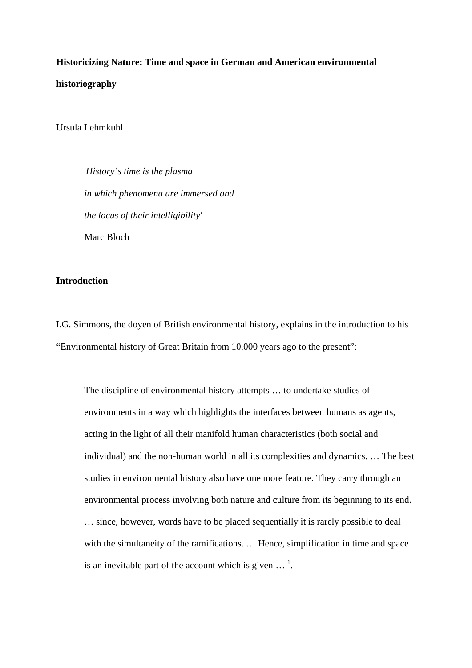**Historicizing Nature: Time and space in German and American environmental historiography**

Ursula Lehmkuhl

'*History's time is the plasma in which phenomena are immersed and the locus of their intelligibility' –* Marc Bloch

### **Introduction**

I.G. Simmons, the doyen of British environmental history, explains in the introduction to his "Environmental history of Great Britain from 10.000 years ago to the present":

The discipline of environmental history attempts … to undertake studies of environments in a way which highlights the interfaces between humans as agents, acting in the light of all their manifold human characteristics (both social and individual) and the non-human world in all its complexities and dynamics. … The best studies in environmental history also have one more feature. They carry through an environmental process involving both nature and culture from its beginning to its end. … since, however, words have to be placed sequentially it is rarely possible to deal with the simultaneity of the ramifications. ... Hence, simplification in time and space is an inevitable part of the account which is given  $\ldots$ <sup>1</sup>.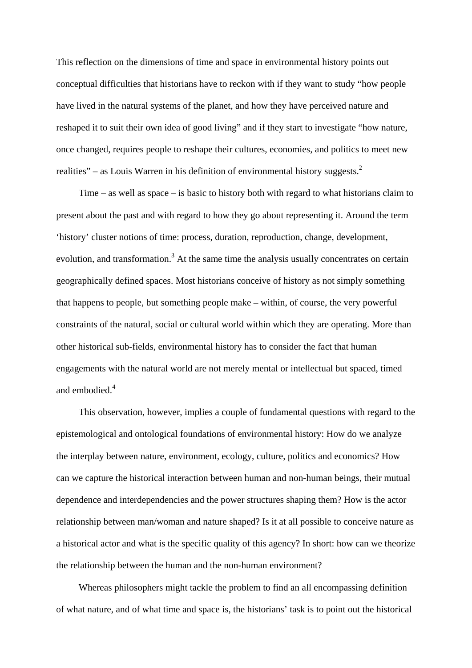This reflection on the dimensions of time and space in environmental history points out conceptual difficulties that historians have to reckon with if they want to study "how people have lived in the natural systems of the planet, and how they have perceived nature and reshaped it to suit their own idea of good living" and if they start to investigate "how nature, once changed, requires people to reshape their cultures, economies, and politics to meet new realities" – as Louis Warren in his definition of environmental history suggests.<sup>2</sup>

Time – as well as space – is basic to history both with regard to what historians claim to present about the past and with regard to how they go about representing it. Around the term 'history' cluster notions of time: process, duration, reproduction, change, development, evolution, and transformation.<sup>3</sup> At the same time the analysis usually concentrates on certain geographically defined spaces. Most historians conceive of history as not simply something that happens to people, but something people make – within, of course, the very powerful constraints of the natural, social or cultural world within which they are operating. More than other historical sub-fields, environmental history has to consider the fact that human engagements with the natural world are not merely mental or intellectual but spaced, timed and embodied  $4$ 

This observation, however, implies a couple of fundamental questions with regard to the epistemological and ontological foundations of environmental history: How do we analyze the interplay between nature, environment, ecology, culture, politics and economics? How can we capture the historical interaction between human and non-human beings, their mutual dependence and interdependencies and the power structures shaping them? How is the actor relationship between man/woman and nature shaped? Is it at all possible to conceive nature as a historical actor and what is the specific quality of this agency? In short: how can we theorize the relationship between the human and the non-human environment?

Whereas philosophers might tackle the problem to find an all encompassing definition of what nature, and of what time and space is, the historians' task is to point out the historical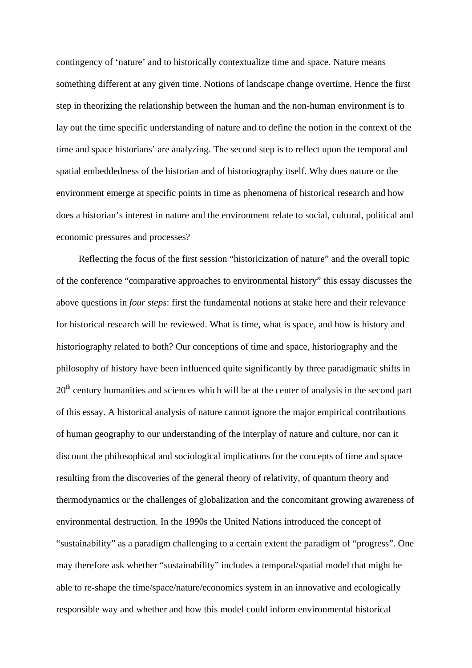contingency of 'nature' and to historically contextualize time and space. Nature means something different at any given time. Notions of landscape change overtime. Hence the first step in theorizing the relationship between the human and the non-human environment is to lay out the time specific understanding of nature and to define the notion in the context of the time and space historians' are analyzing. The second step is to reflect upon the temporal and spatial embeddedness of the historian and of historiography itself. Why does nature or the environment emerge at specific points in time as phenomena of historical research and how does a historian's interest in nature and the environment relate to social, cultural, political and economic pressures and processes?

Reflecting the focus of the first session "historicization of nature" and the overall topic of the conference "comparative approaches to environmental history" this essay discusses the above questions in *four steps*: first the fundamental notions at stake here and their relevance for historical research will be reviewed. What is time, what is space, and how is history and historiography related to both? Our conceptions of time and space, historiography and the philosophy of history have been influenced quite significantly by three paradigmatic shifts in  $20<sup>th</sup>$  century humanities and sciences which will be at the center of analysis in the second part of this essay. A historical analysis of nature cannot ignore the major empirical contributions of human geography to our understanding of the interplay of nature and culture, nor can it discount the philosophical and sociological implications for the concepts of time and space resulting from the discoveries of the general theory of relativity, of quantum theory and thermodynamics or the challenges of globalization and the concomitant growing awareness of environmental destruction. In the 1990s the United Nations introduced the concept of "sustainability" as a paradigm challenging to a certain extent the paradigm of "progress". One may therefore ask whether "sustainability" includes a temporal/spatial model that might be able to re-shape the time/space/nature/economics system in an innovative and ecologically responsible way and whether and how this model could inform environmental historical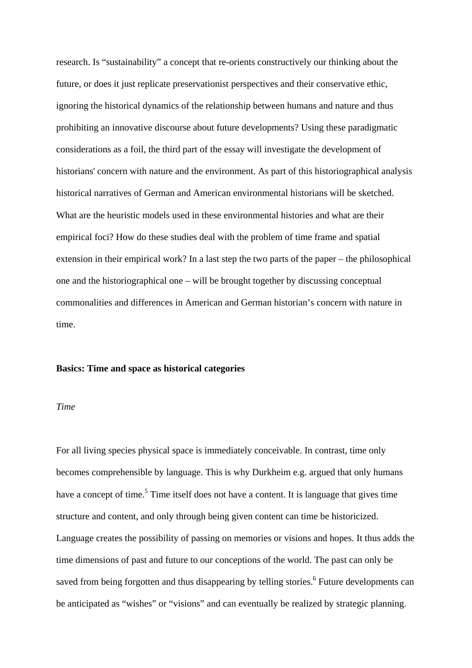research. Is "sustainability" a concept that re-orients constructively our thinking about the future, or does it just replicate preservationist perspectives and their conservative ethic, ignoring the historical dynamics of the relationship between humans and nature and thus prohibiting an innovative discourse about future developments? Using these paradigmatic considerations as a foil, the third part of the essay will investigate the development of historians' concern with nature and the environment. As part of this historiographical analysis historical narratives of German and American environmental historians will be sketched. What are the heuristic models used in these environmental histories and what are their empirical foci? How do these studies deal with the problem of time frame and spatial extension in their empirical work? In a last step the two parts of the paper – the philosophical one and the historiographical one – will be brought together by discussing conceptual commonalities and differences in American and German historian's concern with nature in time.

### **Basics: Time and space as historical categories**

### *Time*

For all living species physical space is immediately conceivable. In contrast, time only becomes comprehensible by language. This is why Durkheim e.g. argued that only humans have a concept of time.<sup>5</sup> Time itself does not have a content. It is language that gives time structure and content, and only through being given content can time be historicized. Language creates the possibility of passing on memories or visions and hopes. It thus adds the time dimensions of past and future to our conceptions of the world. The past can only be saved from being forgotten and thus disappearing by telling stories.<sup>6</sup> Future developments can be anticipated as "wishes" or "visions" and can eventually be realized by strategic planning.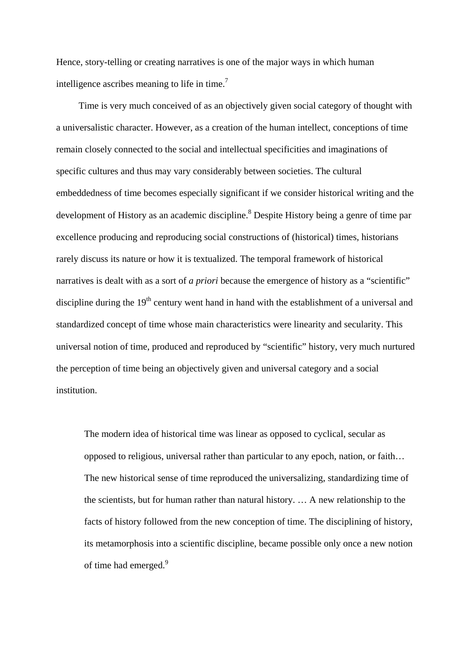Hence, story-telling or creating narratives is one of the major ways in which human intelligence ascribes meaning to life in time.<sup>7</sup>

Time is very much conceived of as an objectively given social category of thought with a universalistic character. However, as a creation of the human intellect, conceptions of time remain closely connected to the social and intellectual specificities and imaginations of specific cultures and thus may vary considerably between societies. The cultural embeddedness of time becomes especially significant if we consider historical writing and the development of History as an academic discipline.<sup>8</sup> Despite History being a genre of time par excellence producing and reproducing social constructions of (historical) times, historians rarely discuss its nature or how it is textualized. The temporal framework of historical narratives is dealt with as a sort of *a priori* because the emergence of history as a "scientific" discipline during the  $19<sup>th</sup>$  century went hand in hand with the establishment of a universal and standardized concept of time whose main characteristics were linearity and secularity. This universal notion of time, produced and reproduced by "scientific" history, very much nurtured the perception of time being an objectively given and universal category and a social institution.

The modern idea of historical time was linear as opposed to cyclical, secular as opposed to religious, universal rather than particular to any epoch, nation, or faith… The new historical sense of time reproduced the universalizing, standardizing time of the scientists, but for human rather than natural history. … A new relationship to the facts of history followed from the new conception of time. The disciplining of history, its metamorphosis into a scientific discipline, became possible only once a new notion of time had emerged.<sup>9</sup>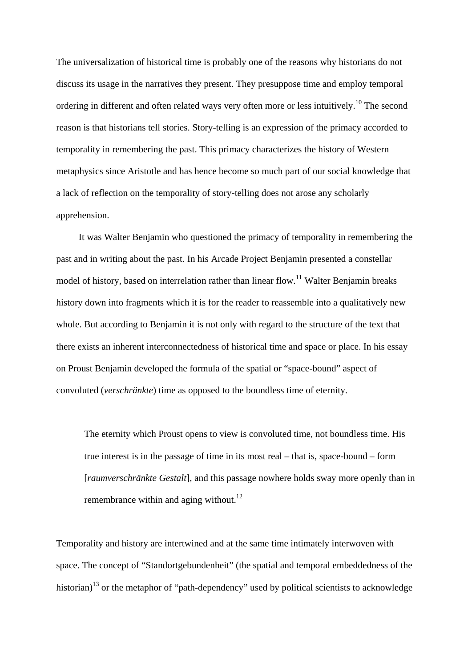The universalization of historical time is probably one of the reasons why historians do not discuss its usage in the narratives they present. They presuppose time and employ temporal ordering in different and often related ways very often more or less intuitively.<sup>10</sup> The second reason is that historians tell stories. Story-telling is an expression of the primacy accorded to temporality in remembering the past. This primacy characterizes the history of Western metaphysics since Aristotle and has hence become so much part of our social knowledge that a lack of reflection on the temporality of story-telling does not arose any scholarly apprehension.

It was Walter Benjamin who questioned the primacy of temporality in remembering the past and in writing about the past. In his Arcade Project Benjamin presented a constellar model of history, based on interrelation rather than linear flow.<sup>11</sup> Walter Benjamin breaks history down into fragments which it is for the reader to reassemble into a qualitatively new whole. But according to Benjamin it is not only with regard to the structure of the text that there exists an inherent interconnectedness of historical time and space or place. In his essay on Proust Benjamin developed the formula of the spatial or "space-bound" aspect of convoluted (*verschränkte*) time as opposed to the boundless time of eternity.

The eternity which Proust opens to view is convoluted time, not boundless time. His true interest is in the passage of time in its most real – that is, space-bound – form [*raumverschränkte Gestalt*], and this passage nowhere holds sway more openly than in remembrance within and aging without. $^{12}$ 

Temporality and history are intertwined and at the same time intimately interwoven with space. The concept of "Standortgebundenheit" (the spatial and temporal embeddedness of the historian)<sup>13</sup> or the metaphor of "path-dependency" used by political scientists to acknowledge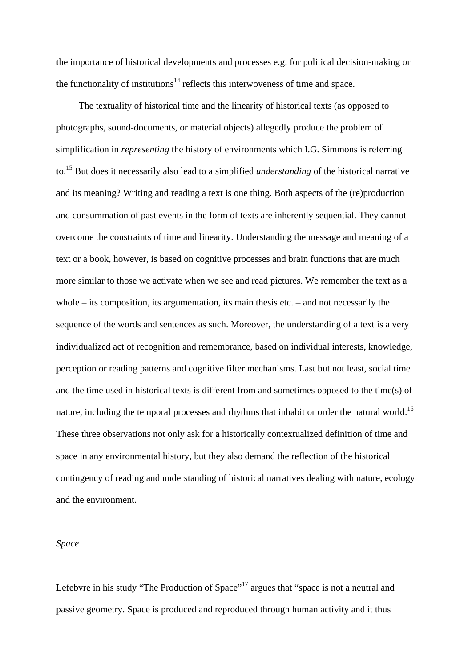the importance of historical developments and processes e.g. for political decision-making or the functionality of institutions<sup>14</sup> reflects this interwoveness of time and space.

The textuality of historical time and the linearity of historical texts (as opposed to photographs, sound-documents, or material objects) allegedly produce the problem of simplification in *representing* the history of environments which I.G. Simmons is referring to.15 But does it necessarily also lead to a simplified *understanding* of the historical narrative and its meaning? Writing and reading a text is one thing. Both aspects of the (re)production and consummation of past events in the form of texts are inherently sequential. They cannot overcome the constraints of time and linearity. Understanding the message and meaning of a text or a book, however, is based on cognitive processes and brain functions that are much more similar to those we activate when we see and read pictures. We remember the text as a whole – its composition, its argumentation, its main thesis etc. – and not necessarily the sequence of the words and sentences as such. Moreover, the understanding of a text is a very individualized act of recognition and remembrance, based on individual interests, knowledge, perception or reading patterns and cognitive filter mechanisms. Last but not least, social time and the time used in historical texts is different from and sometimes opposed to the time(s) of nature, including the temporal processes and rhythms that inhabit or order the natural world.<sup>16</sup> These three observations not only ask for a historically contextualized definition of time and space in any environmental history, but they also demand the reflection of the historical contingency of reading and understanding of historical narratives dealing with nature, ecology and the environment.

### *Space*

Lefebvre in his study "The Production of Space"<sup>17</sup> argues that "space is not a neutral and passive geometry. Space is produced and reproduced through human activity and it thus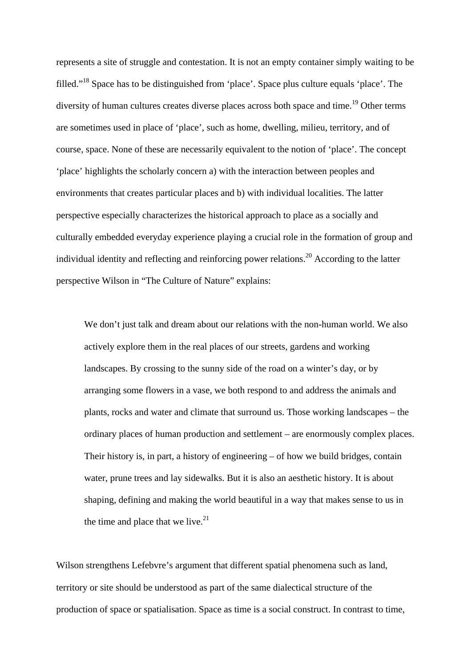represents a site of struggle and contestation. It is not an empty container simply waiting to be filled."18 Space has to be distinguished from 'place'. Space plus culture equals 'place'. The diversity of human cultures creates diverse places across both space and time.<sup>19</sup> Other terms are sometimes used in place of 'place', such as home, dwelling, milieu, territory, and of course, space. None of these are necessarily equivalent to the notion of 'place'. The concept 'place' highlights the scholarly concern a) with the interaction between peoples and environments that creates particular places and b) with individual localities. The latter perspective especially characterizes the historical approach to place as a socially and culturally embedded everyday experience playing a crucial role in the formation of group and individual identity and reflecting and reinforcing power relations.<sup>20</sup> According to the latter perspective Wilson in "The Culture of Nature" explains:

We don't just talk and dream about our relations with the non-human world. We also actively explore them in the real places of our streets, gardens and working landscapes. By crossing to the sunny side of the road on a winter's day, or by arranging some flowers in a vase, we both respond to and address the animals and plants, rocks and water and climate that surround us. Those working landscapes – the ordinary places of human production and settlement – are enormously complex places. Their history is, in part, a history of engineering – of how we build bridges, contain water, prune trees and lay sidewalks. But it is also an aesthetic history. It is about shaping, defining and making the world beautiful in a way that makes sense to us in the time and place that we live. $21$ 

Wilson strengthens Lefebvre's argument that different spatial phenomena such as land, territory or site should be understood as part of the same dialectical structure of the production of space or spatialisation. Space as time is a social construct. In contrast to time,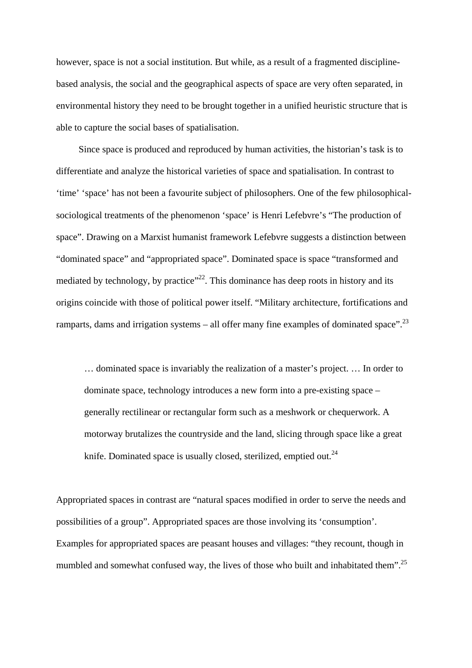however, space is not a social institution. But while, as a result of a fragmented disciplinebased analysis, the social and the geographical aspects of space are very often separated, in environmental history they need to be brought together in a unified heuristic structure that is able to capture the social bases of spatialisation.

Since space is produced and reproduced by human activities, the historian's task is to differentiate and analyze the historical varieties of space and spatialisation. In contrast to 'time' 'space' has not been a favourite subject of philosophers. One of the few philosophicalsociological treatments of the phenomenon 'space' is Henri Lefebvre's "The production of space". Drawing on a Marxist humanist framework Lefebvre suggests a distinction between "dominated space" and "appropriated space". Dominated space is space "transformed and mediated by technology, by practice"<sup>22</sup>. This dominance has deep roots in history and its origins coincide with those of political power itself. "Military architecture, fortifications and ramparts, dams and irrigation systems – all offer many fine examples of dominated space".<sup>23</sup>

… dominated space is invariably the realization of a master's project. … In order to dominate space, technology introduces a new form into a pre-existing space – generally rectilinear or rectangular form such as a meshwork or chequerwork. A motorway brutalizes the countryside and the land, slicing through space like a great knife. Dominated space is usually closed, sterilized, emptied out. $^{24}$ 

Appropriated spaces in contrast are "natural spaces modified in order to serve the needs and possibilities of a group". Appropriated spaces are those involving its 'consumption'. Examples for appropriated spaces are peasant houses and villages: "they recount, though in mumbled and somewhat confused way, the lives of those who built and inhabitated them".<sup>25</sup>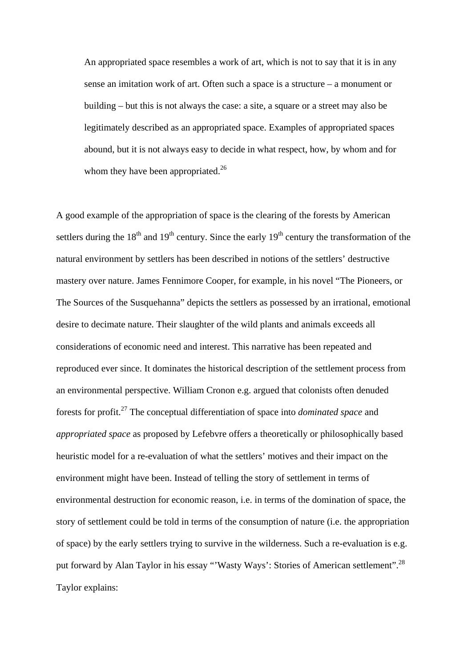An appropriated space resembles a work of art, which is not to say that it is in any sense an imitation work of art. Often such a space is a structure – a monument or building – but this is not always the case: a site, a square or a street may also be legitimately described as an appropriated space. Examples of appropriated spaces abound, but it is not always easy to decide in what respect, how, by whom and for whom they have been appropriated. $26$ 

A good example of the appropriation of space is the clearing of the forests by American settlers during the  $18<sup>th</sup>$  and  $19<sup>th</sup>$  century. Since the early  $19<sup>th</sup>$  century the transformation of the natural environment by settlers has been described in notions of the settlers' destructive mastery over nature. James Fennimore Cooper, for example, in his novel "The Pioneers, or The Sources of the Susquehanna" depicts the settlers as possessed by an irrational, emotional desire to decimate nature. Their slaughter of the wild plants and animals exceeds all considerations of economic need and interest. This narrative has been repeated and reproduced ever since. It dominates the historical description of the settlement process from an environmental perspective. William Cronon e.g. argued that colonists often denuded forests for profit.27 The conceptual differentiation of space into *dominated space* and *appropriated space* as proposed by Lefebvre offers a theoretically or philosophically based heuristic model for a re-evaluation of what the settlers' motives and their impact on the environment might have been. Instead of telling the story of settlement in terms of environmental destruction for economic reason, i.e. in terms of the domination of space, the story of settlement could be told in terms of the consumption of nature (i.e. the appropriation of space) by the early settlers trying to survive in the wilderness. Such a re-evaluation is e.g. put forward by Alan Taylor in his essay "'Wasty Ways': Stories of American settlement".<sup>28</sup> Taylor explains: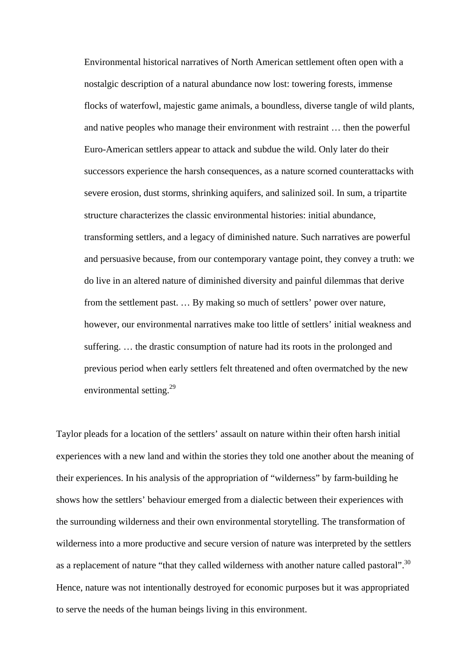Environmental historical narratives of North American settlement often open with a nostalgic description of a natural abundance now lost: towering forests, immense flocks of waterfowl, majestic game animals, a boundless, diverse tangle of wild plants, and native peoples who manage their environment with restraint … then the powerful Euro-American settlers appear to attack and subdue the wild. Only later do their successors experience the harsh consequences, as a nature scorned counterattacks with severe erosion, dust storms, shrinking aquifers, and salinized soil. In sum, a tripartite structure characterizes the classic environmental histories: initial abundance, transforming settlers, and a legacy of diminished nature. Such narratives are powerful and persuasive because, from our contemporary vantage point, they convey a truth: we do live in an altered nature of diminished diversity and painful dilemmas that derive from the settlement past. … By making so much of settlers' power over nature, however, our environmental narratives make too little of settlers' initial weakness and suffering. … the drastic consumption of nature had its roots in the prolonged and previous period when early settlers felt threatened and often overmatched by the new environmental setting.<sup>29</sup>

Taylor pleads for a location of the settlers' assault on nature within their often harsh initial experiences with a new land and within the stories they told one another about the meaning of their experiences. In his analysis of the appropriation of "wilderness" by farm-building he shows how the settlers' behaviour emerged from a dialectic between their experiences with the surrounding wilderness and their own environmental storytelling. The transformation of wilderness into a more productive and secure version of nature was interpreted by the settlers as a replacement of nature "that they called wilderness with another nature called pastoral".<sup>30</sup> Hence, nature was not intentionally destroyed for economic purposes but it was appropriated to serve the needs of the human beings living in this environment.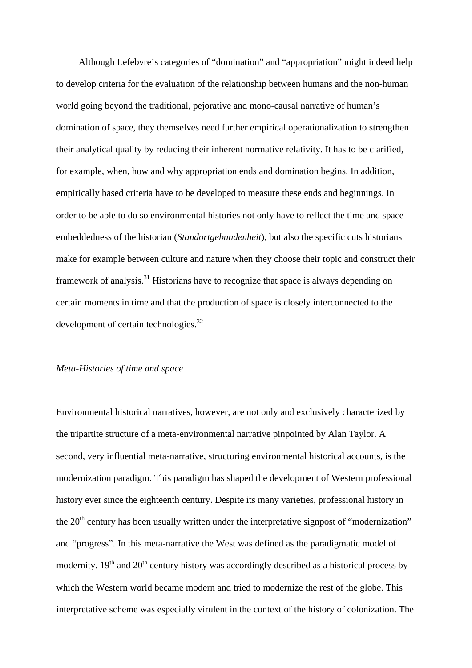Although Lefebvre's categories of "domination" and "appropriation" might indeed help to develop criteria for the evaluation of the relationship between humans and the non-human world going beyond the traditional, pejorative and mono-causal narrative of human's domination of space, they themselves need further empirical operationalization to strengthen their analytical quality by reducing their inherent normative relativity. It has to be clarified, for example, when, how and why appropriation ends and domination begins. In addition, empirically based criteria have to be developed to measure these ends and beginnings. In order to be able to do so environmental histories not only have to reflect the time and space embeddedness of the historian (*Standortgebundenheit*), but also the specific cuts historians make for example between culture and nature when they choose their topic and construct their framework of analysis.31 Historians have to recognize that space is always depending on certain moments in time and that the production of space is closely interconnected to the development of certain technologies.<sup>32</sup>

### *Meta-Histories of time and space*

Environmental historical narratives, however, are not only and exclusively characterized by the tripartite structure of a meta-environmental narrative pinpointed by Alan Taylor. A second, very influential meta-narrative, structuring environmental historical accounts, is the modernization paradigm. This paradigm has shaped the development of Western professional history ever since the eighteenth century. Despite its many varieties, professional history in the  $20<sup>th</sup>$  century has been usually written under the interpretative signpost of "modernization" and "progress". In this meta-narrative the West was defined as the paradigmatic model of modernity.  $19<sup>th</sup>$  and  $20<sup>th</sup>$  century history was accordingly described as a historical process by which the Western world became modern and tried to modernize the rest of the globe. This interpretative scheme was especially virulent in the context of the history of colonization. The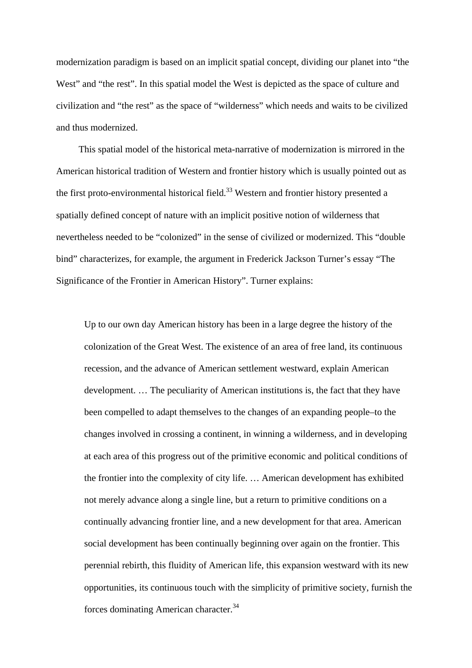modernization paradigm is based on an implicit spatial concept, dividing our planet into "the West" and "the rest". In this spatial model the West is depicted as the space of culture and civilization and "the rest" as the space of "wilderness" which needs and waits to be civilized and thus modernized.

This spatial model of the historical meta-narrative of modernization is mirrored in the American historical tradition of Western and frontier history which is usually pointed out as the first proto-environmental historical field.<sup>33</sup> Western and frontier history presented a spatially defined concept of nature with an implicit positive notion of wilderness that nevertheless needed to be "colonized" in the sense of civilized or modernized. This "double bind" characterizes, for example, the argument in Frederick Jackson Turner's essay "The Significance of the Frontier in American History". Turner explains:

Up to our own day American history has been in a large degree the history of the colonization of the Great West. The existence of an area of free land, its continuous recession, and the advance of American settlement westward, explain American development. … The peculiarity of American institutions is, the fact that they have been compelled to adapt themselves to the changes of an expanding people–to the changes involved in crossing a continent, in winning a wilderness, and in developing at each area of this progress out of the primitive economic and political conditions of the frontier into the complexity of city life. … American development has exhibited not merely advance along a single line, but a return to primitive conditions on a continually advancing frontier line, and a new development for that area. American social development has been continually beginning over again on the frontier. This perennial rebirth, this fluidity of American life, this expansion westward with its new opportunities, its continuous touch with the simplicity of primitive society, furnish the forces dominating American character.34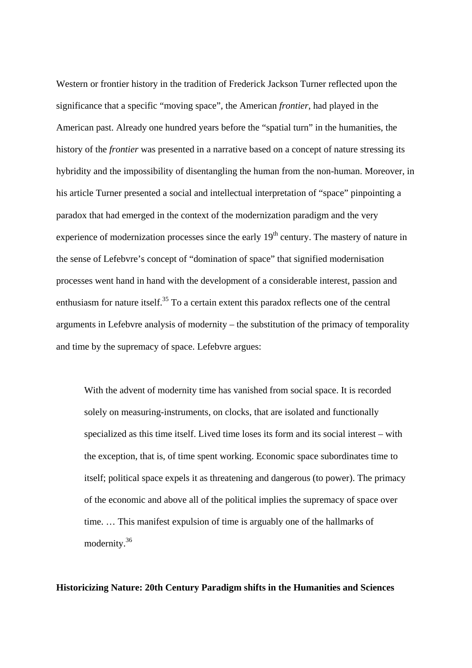Western or frontier history in the tradition of Frederick Jackson Turner reflected upon the significance that a specific "moving space", the American *frontier*, had played in the American past. Already one hundred years before the "spatial turn" in the humanities, the history of the *frontier* was presented in a narrative based on a concept of nature stressing its hybridity and the impossibility of disentangling the human from the non-human. Moreover, in his article Turner presented a social and intellectual interpretation of "space" pinpointing a paradox that had emerged in the context of the modernization paradigm and the very experience of modernization processes since the early  $19<sup>th</sup>$  century. The mastery of nature in the sense of Lefebvre's concept of "domination of space" that signified modernisation processes went hand in hand with the development of a considerable interest, passion and enthusiasm for nature itself.<sup>35</sup> To a certain extent this paradox reflects one of the central arguments in Lefebvre analysis of modernity – the substitution of the primacy of temporality and time by the supremacy of space. Lefebvre argues:

With the advent of modernity time has vanished from social space. It is recorded solely on measuring-instruments, on clocks, that are isolated and functionally specialized as this time itself. Lived time loses its form and its social interest – with the exception, that is, of time spent working. Economic space subordinates time to itself; political space expels it as threatening and dangerous (to power). The primacy of the economic and above all of the political implies the supremacy of space over time. … This manifest expulsion of time is arguably one of the hallmarks of modernity.36

**Historicizing Nature: 20th Century Paradigm shifts in the Humanities and Sciences**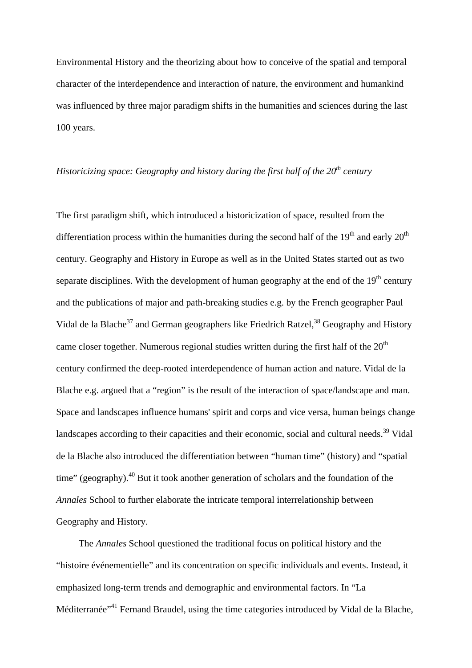Environmental History and the theorizing about how to conceive of the spatial and temporal character of the interdependence and interaction of nature, the environment and humankind was influenced by three major paradigm shifts in the humanities and sciences during the last 100 years.

## *Historicizing space: Geography and history during the first half of the 20<sup>th</sup> century*

The first paradigm shift, which introduced a historicization of space, resulted from the differentiation process within the humanities during the second half of the  $19<sup>th</sup>$  and early  $20<sup>th</sup>$ century. Geography and History in Europe as well as in the United States started out as two separate disciplines. With the development of human geography at the end of the  $19<sup>th</sup>$  century and the publications of major and path-breaking studies e.g. by the French geographer Paul Vidal de la Blache<sup>37</sup> and German geographers like Friedrich Ratzel,<sup>38</sup> Geography and History came closer together. Numerous regional studies written during the first half of the  $20<sup>th</sup>$ century confirmed the deep-rooted interdependence of human action and nature. Vidal de la Blache e.g. argued that a "region" is the result of the interaction of space/landscape and man. Space and landscapes influence humans' spirit and corps and vice versa, human beings change landscapes according to their capacities and their economic, social and cultural needs.<sup>39</sup> Vidal de la Blache also introduced the differentiation between "human time" (history) and "spatial time" (geography). $40$  But it took another generation of scholars and the foundation of the *Annales* School to further elaborate the intricate temporal interrelationship between Geography and History.

The *Annales* School questioned the traditional focus on political history and the "histoire événementielle" and its concentration on specific individuals and events. Instead, it emphasized long-term trends and demographic and environmental factors. In "La Méditerranée"<sup>41</sup> Fernand Braudel, using the time categories introduced by Vidal de la Blache,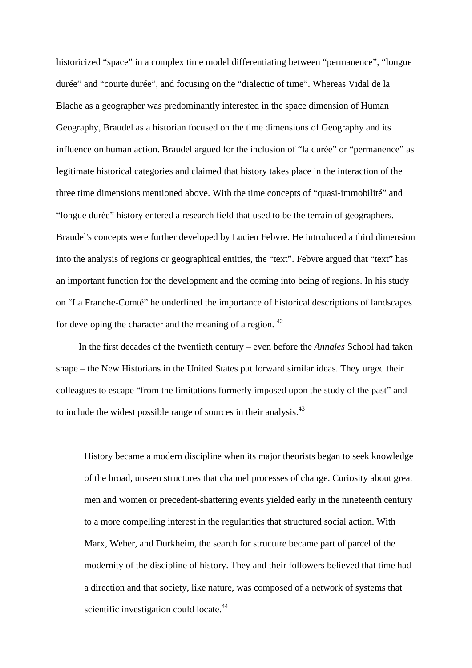historicized "space" in a complex time model differentiating between "permanence", "longue durée" and "courte durée", and focusing on the "dialectic of time". Whereas Vidal de la Blache as a geographer was predominantly interested in the space dimension of Human Geography, Braudel as a historian focused on the time dimensions of Geography and its influence on human action. Braudel argued for the inclusion of "la durée" or "permanence" as legitimate historical categories and claimed that history takes place in the interaction of the three time dimensions mentioned above. With the time concepts of "quasi-immobilité" and "longue durée" history entered a research field that used to be the terrain of geographers. Braudel's concepts were further developed by Lucien Febvre. He introduced a third dimension into the analysis of regions or geographical entities, the "text". Febvre argued that "text" has an important function for the development and the coming into being of regions. In his study on "La Franche-Comté" he underlined the importance of historical descriptions of landscapes for developing the character and the meaning of a region.  $42$ 

In the first decades of the twentieth century – even before the *Annales* School had taken shape – the New Historians in the United States put forward similar ideas. They urged their colleagues to escape "from the limitations formerly imposed upon the study of the past" and to include the widest possible range of sources in their analysis.<sup>43</sup>

History became a modern discipline when its major theorists began to seek knowledge of the broad, unseen structures that channel processes of change. Curiosity about great men and women or precedent-shattering events yielded early in the nineteenth century to a more compelling interest in the regularities that structured social action. With Marx, Weber, and Durkheim, the search for structure became part of parcel of the modernity of the discipline of history. They and their followers believed that time had a direction and that society, like nature, was composed of a network of systems that scientific investigation could locate.<sup>44</sup>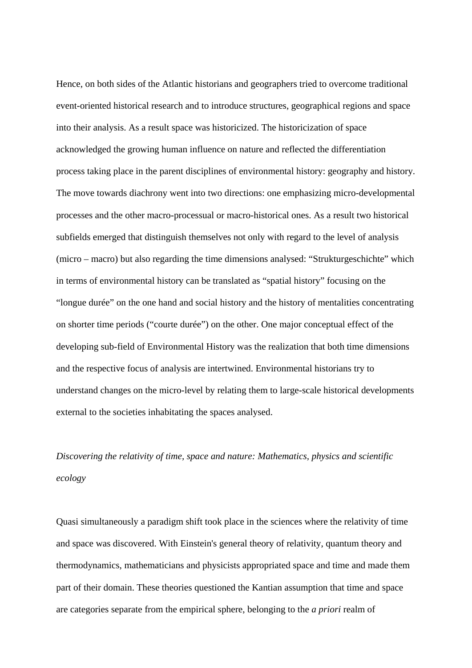Hence, on both sides of the Atlantic historians and geographers tried to overcome traditional event-oriented historical research and to introduce structures, geographical regions and space into their analysis. As a result space was historicized. The historicization of space acknowledged the growing human influence on nature and reflected the differentiation process taking place in the parent disciplines of environmental history: geography and history. The move towards diachrony went into two directions: one emphasizing micro-developmental processes and the other macro-processual or macro-historical ones. As a result two historical subfields emerged that distinguish themselves not only with regard to the level of analysis (micro – macro) but also regarding the time dimensions analysed: "Strukturgeschichte" which in terms of environmental history can be translated as "spatial history" focusing on the "longue durée" on the one hand and social history and the history of mentalities concentrating on shorter time periods ("courte durée") on the other. One major conceptual effect of the developing sub-field of Environmental History was the realization that both time dimensions and the respective focus of analysis are intertwined. Environmental historians try to understand changes on the micro-level by relating them to large-scale historical developments external to the societies inhabitating the spaces analysed.

# *Discovering the relativity of time, space and nature: Mathematics, physics and scientific ecology*

Quasi simultaneously a paradigm shift took place in the sciences where the relativity of time and space was discovered. With Einstein's general theory of relativity, quantum theory and thermodynamics, mathematicians and physicists appropriated space and time and made them part of their domain. These theories questioned the Kantian assumption that time and space are categories separate from the empirical sphere, belonging to the *a priori* realm of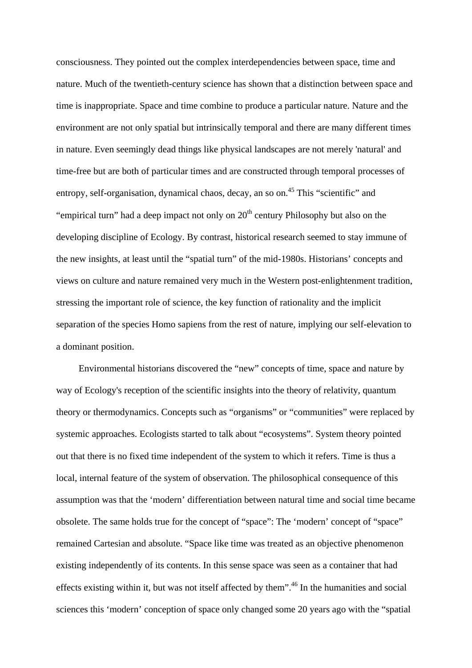consciousness. They pointed out the complex interdependencies between space, time and nature. Much of the twentieth-century science has shown that a distinction between space and time is inappropriate. Space and time combine to produce a particular nature. Nature and the environment are not only spatial but intrinsically temporal and there are many different times in nature. Even seemingly dead things like physical landscapes are not merely 'natural' and time-free but are both of particular times and are constructed through temporal processes of entropy, self-organisation, dynamical chaos, decay, an so on.<sup>45</sup> This "scientific" and "empirical turn" had a deep impact not only on  $20<sup>th</sup>$  century Philosophy but also on the developing discipline of Ecology. By contrast, historical research seemed to stay immune of the new insights, at least until the "spatial turn" of the mid-1980s. Historians' concepts and views on culture and nature remained very much in the Western post-enlightenment tradition, stressing the important role of science, the key function of rationality and the implicit separation of the species Homo sapiens from the rest of nature, implying our self-elevation to a dominant position.

Environmental historians discovered the "new" concepts of time, space and nature by way of Ecology's reception of the scientific insights into the theory of relativity, quantum theory or thermodynamics. Concepts such as "organisms" or "communities" were replaced by systemic approaches. Ecologists started to talk about "ecosystems". System theory pointed out that there is no fixed time independent of the system to which it refers. Time is thus a local, internal feature of the system of observation. The philosophical consequence of this assumption was that the 'modern' differentiation between natural time and social time became obsolete. The same holds true for the concept of "space": The 'modern' concept of "space" remained Cartesian and absolute. "Space like time was treated as an objective phenomenon existing independently of its contents. In this sense space was seen as a container that had effects existing within it, but was not itself affected by them".<sup>46</sup> In the humanities and social sciences this 'modern' conception of space only changed some 20 years ago with the "spatial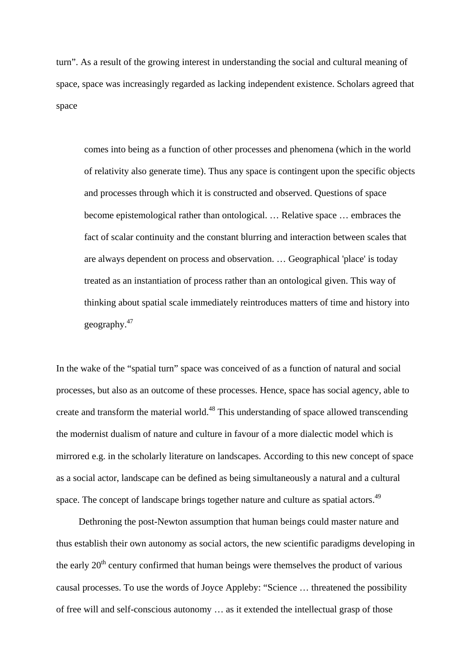turn". As a result of the growing interest in understanding the social and cultural meaning of space, space was increasingly regarded as lacking independent existence. Scholars agreed that space

comes into being as a function of other processes and phenomena (which in the world of relativity also generate time). Thus any space is contingent upon the specific objects and processes through which it is constructed and observed. Questions of space become epistemological rather than ontological. … Relative space … embraces the fact of scalar continuity and the constant blurring and interaction between scales that are always dependent on process and observation. … Geographical 'place' is today treated as an instantiation of process rather than an ontological given. This way of thinking about spatial scale immediately reintroduces matters of time and history into geography.47

In the wake of the "spatial turn" space was conceived of as a function of natural and social processes, but also as an outcome of these processes. Hence, space has social agency, able to create and transform the material world.<sup>48</sup> This understanding of space allowed transcending the modernist dualism of nature and culture in favour of a more dialectic model which is mirrored e.g. in the scholarly literature on landscapes. According to this new concept of space as a social actor, landscape can be defined as being simultaneously a natural and a cultural space. The concept of landscape brings together nature and culture as spatial actors.<sup>49</sup>

Dethroning the post-Newton assumption that human beings could master nature and thus establish their own autonomy as social actors, the new scientific paradigms developing in the early  $20<sup>th</sup>$  century confirmed that human beings were themselves the product of various causal processes. To use the words of Joyce Appleby: "Science … threatened the possibility of free will and self-conscious autonomy … as it extended the intellectual grasp of those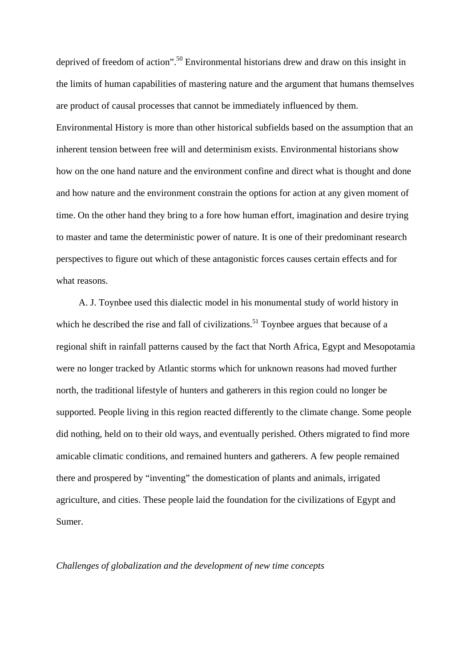deprived of freedom of action".50 Environmental historians drew and draw on this insight in the limits of human capabilities of mastering nature and the argument that humans themselves are product of causal processes that cannot be immediately influenced by them. Environmental History is more than other historical subfields based on the assumption that an inherent tension between free will and determinism exists. Environmental historians show how on the one hand nature and the environment confine and direct what is thought and done and how nature and the environment constrain the options for action at any given moment of time. On the other hand they bring to a fore how human effort, imagination and desire trying to master and tame the deterministic power of nature. It is one of their predominant research perspectives to figure out which of these antagonistic forces causes certain effects and for what reasons.

A. J. Toynbee used this dialectic model in his monumental study of world history in which he described the rise and fall of civilizations.<sup>51</sup> Toynbee argues that because of a regional shift in rainfall patterns caused by the fact that North Africa, Egypt and Mesopotamia were no longer tracked by Atlantic storms which for unknown reasons had moved further north, the traditional lifestyle of hunters and gatherers in this region could no longer be supported. People living in this region reacted differently to the climate change. Some people did nothing, held on to their old ways, and eventually perished. Others migrated to find more amicable climatic conditions, and remained hunters and gatherers. A few people remained there and prospered by "inventing" the domestication of plants and animals, irrigated agriculture, and cities. These people laid the foundation for the civilizations of Egypt and Sumer.

*Challenges of globalization and the development of new time concepts*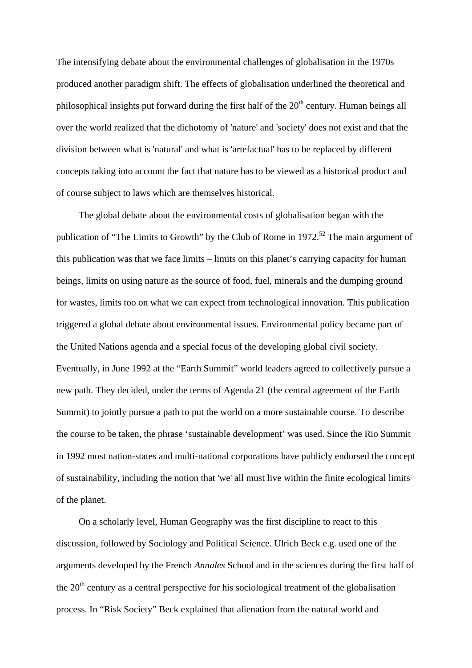The intensifying debate about the environmental challenges of globalisation in the 1970s produced another paradigm shift. The effects of globalisation underlined the theoretical and philosophical insights put forward during the first half of the  $20<sup>th</sup>$  century. Human beings all over the world realized that the dichotomy of 'nature' and 'society' does not exist and that the division between what is 'natural' and what is 'artefactual' has to be replaced by different concepts taking into account the fact that nature has to be viewed as a historical product and of course subject to laws which are themselves historical.

The global debate about the environmental costs of globalisation began with the publication of "The Limits to Growth" by the Club of Rome in  $1972$ <sup>52</sup>. The main argument of this publication was that we face limits – limits on this planet's carrying capacity for human beings, limits on using nature as the source of food, fuel, minerals and the dumping ground for wastes, limits too on what we can expect from technological innovation. This publication triggered a global debate about environmental issues. Environmental policy became part of the United Nations agenda and a special focus of the developing global civil society. Eventually, in June 1992 at the "Earth Summit" world leaders agreed to collectively pursue a new path. They decided, under the terms of Agenda 21 (the central agreement of the Earth Summit) to jointly pursue a path to put the world on a more sustainable course. To describe the course to be taken, the phrase 'sustainable development' was used. Since the Rio Summit in 1992 most nation-states and multi-national corporations have publicly endorsed the concept of sustainability, including the notion that 'we' all must live within the finite ecological limits of the planet.

On a scholarly level, Human Geography was the first discipline to react to this discussion, followed by Sociology and Political Science. Ulrich Beck e.g. used one of the arguments developed by the French *Annales* School and in the sciences during the first half of the  $20<sup>th</sup>$  century as a central perspective for his sociological treatment of the globalisation process. In "Risk Society" Beck explained that alienation from the natural world and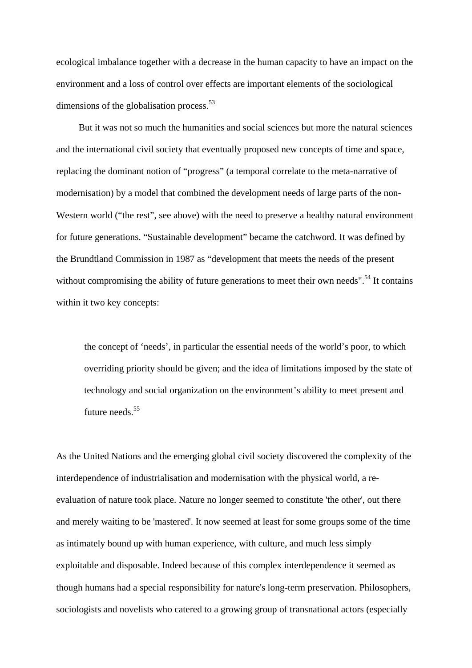ecological imbalance together with a decrease in the human capacity to have an impact on the environment and a loss of control over effects are important elements of the sociological dimensions of the globalisation process. $53$ 

But it was not so much the humanities and social sciences but more the natural sciences and the international civil society that eventually proposed new concepts of time and space, replacing the dominant notion of "progress" (a temporal correlate to the meta-narrative of modernisation) by a model that combined the development needs of large parts of the non-Western world ("the rest", see above) with the need to preserve a healthy natural environment for future generations. "Sustainable development" became the catchword. It was defined by the Brundtland Commission in 1987 as "development that meets the needs of the present without compromising the ability of future generations to meet their own needs".<sup>54</sup> It contains within it two key concepts:

the concept of 'needs', in particular the essential needs of the world's poor, to which overriding priority should be given; and the idea of limitations imposed by the state of technology and social organization on the environment's ability to meet present and future needs.<sup>55</sup>

As the United Nations and the emerging global civil society discovered the complexity of the interdependence of industrialisation and modernisation with the physical world, a reevaluation of nature took place. Nature no longer seemed to constitute 'the other', out there and merely waiting to be 'mastered'. It now seemed at least for some groups some of the time as intimately bound up with human experience, with culture, and much less simply exploitable and disposable. Indeed because of this complex interdependence it seemed as though humans had a special responsibility for nature's long-term preservation. Philosophers, sociologists and novelists who catered to a growing group of transnational actors (especially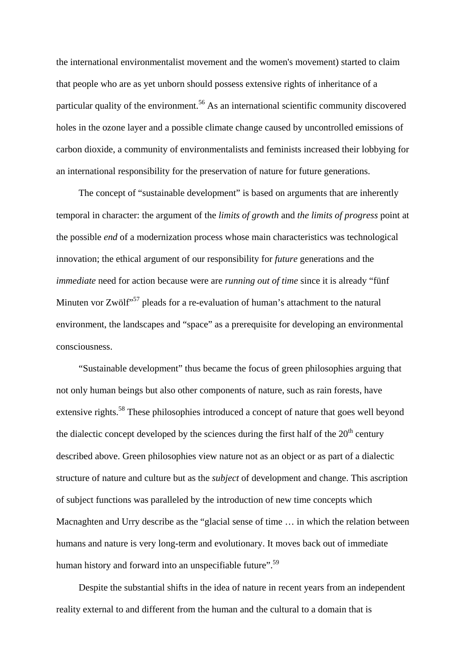the international environmentalist movement and the women's movement) started to claim that people who are as yet unborn should possess extensive rights of inheritance of a particular quality of the environment.<sup>56</sup> As an international scientific community discovered holes in the ozone layer and a possible climate change caused by uncontrolled emissions of carbon dioxide, a community of environmentalists and feminists increased their lobbying for an international responsibility for the preservation of nature for future generations.

The concept of "sustainable development" is based on arguments that are inherently temporal in character: the argument of the *limits of growth* and *the limits of progress* point at the possible *end* of a modernization process whose main characteristics was technological innovation; the ethical argument of our responsibility for *future* generations and the *immediate* need for action because were are *running out of time* since it is already "fünf Minuten vor Zwölf<sup>557</sup> pleads for a re-evaluation of human's attachment to the natural environment, the landscapes and "space" as a prerequisite for developing an environmental consciousness.

"Sustainable development" thus became the focus of green philosophies arguing that not only human beings but also other components of nature, such as rain forests, have extensive rights.<sup>58</sup> These philosophies introduced a concept of nature that goes well beyond the dialectic concept developed by the sciences during the first half of the  $20<sup>th</sup>$  century described above. Green philosophies view nature not as an object or as part of a dialectic structure of nature and culture but as the *subject* of development and change. This ascription of subject functions was paralleled by the introduction of new time concepts which Macnaghten and Urry describe as the "glacial sense of time … in which the relation between humans and nature is very long-term and evolutionary. It moves back out of immediate human history and forward into an unspecifiable future".<sup>59</sup>

Despite the substantial shifts in the idea of nature in recent years from an independent reality external to and different from the human and the cultural to a domain that is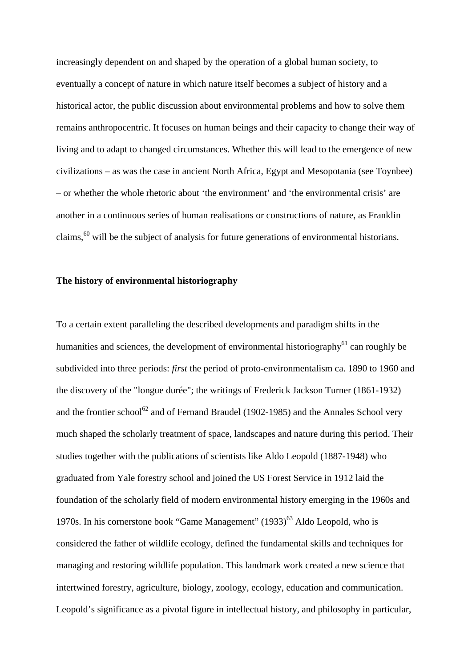increasingly dependent on and shaped by the operation of a global human society, to eventually a concept of nature in which nature itself becomes a subject of history and a historical actor, the public discussion about environmental problems and how to solve them remains anthropocentric. It focuses on human beings and their capacity to change their way of living and to adapt to changed circumstances. Whether this will lead to the emergence of new civilizations – as was the case in ancient North Africa, Egypt and Mesopotania (see Toynbee) – or whether the whole rhetoric about 'the environment' and 'the environmental crisis' are another in a continuous series of human realisations or constructions of nature, as Franklin claims, $60$  will be the subject of analysis for future generations of environmental historians.

### **The history of environmental historiography**

To a certain extent paralleling the described developments and paradigm shifts in the humanities and sciences, the development of environmental historiography<sup>61</sup> can roughly be subdivided into three periods: *first* the period of proto-environmentalism ca. 1890 to 1960 and the discovery of the "longue durée"; the writings of Frederick Jackson Turner (1861-1932) and the frontier school<sup>62</sup> and of Fernand Braudel (1902-1985) and the Annales School very much shaped the scholarly treatment of space, landscapes and nature during this period. Their studies together with the publications of scientists like Aldo Leopold (1887-1948) who graduated from Yale forestry school and joined the US Forest Service in 1912 laid the foundation of the scholarly field of modern environmental history emerging in the 1960s and 1970s. In his cornerstone book "Game Management"  $(1933)^{63}$  Aldo Leopold, who is considered the father of wildlife ecology, defined the fundamental skills and techniques for managing and restoring wildlife population. This landmark work created a new science that intertwined forestry, agriculture, biology, zoology, ecology, education and communication. Leopold's significance as a pivotal figure in intellectual history, and philosophy in particular,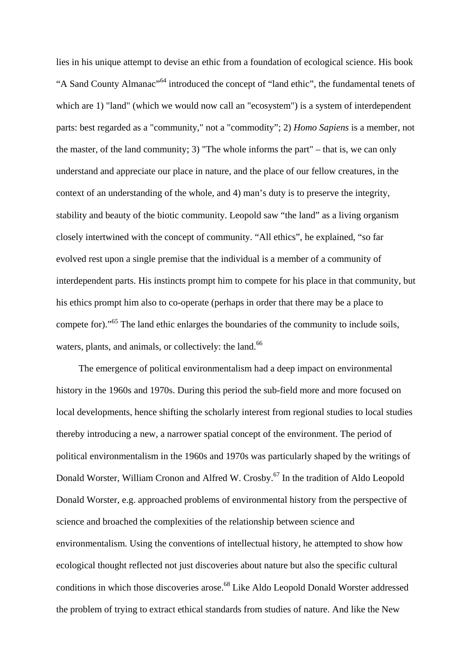lies in his unique attempt to devise an ethic from a foundation of ecological science. His book "A Sand County Almanac"<sup>64</sup> introduced the concept of "land ethic", the fundamental tenets of which are 1) "land" (which we would now call an "ecosystem") is a system of interdependent parts: best regarded as a "community," not a "commodity"; 2) *Homo Sapiens* is a member, not the master, of the land community; 3) "The whole informs the part" – that is, we can only understand and appreciate our place in nature, and the place of our fellow creatures, in the context of an understanding of the whole, and 4) man's duty is to preserve the integrity, stability and beauty of the biotic community. Leopold saw "the land" as a living organism closely intertwined with the concept of community. "All ethics", he explained, "so far evolved rest upon a single premise that the individual is a member of a community of interdependent parts. His instincts prompt him to compete for his place in that community, but his ethics prompt him also to co-operate (perhaps in order that there may be a place to compete for)."<sup>65</sup> The land ethic enlarges the boundaries of the community to include soils, waters, plants, and animals, or collectively: the land.<sup>66</sup>

The emergence of political environmentalism had a deep impact on environmental history in the 1960s and 1970s. During this period the sub-field more and more focused on local developments, hence shifting the scholarly interest from regional studies to local studies thereby introducing a new, a narrower spatial concept of the environment. The period of political environmentalism in the 1960s and 1970s was particularly shaped by the writings of Donald Worster, William Cronon and Alfred W. Crosby.<sup>67</sup> In the tradition of Aldo Leopold Donald Worster, e.g. approached problems of environmental history from the perspective of science and broached the complexities of the relationship between science and environmentalism. Using the conventions of intellectual history, he attempted to show how ecological thought reflected not just discoveries about nature but also the specific cultural conditions in which those discoveries arose.68 Like Aldo Leopold Donald Worster addressed the problem of trying to extract ethical standards from studies of nature. And like the New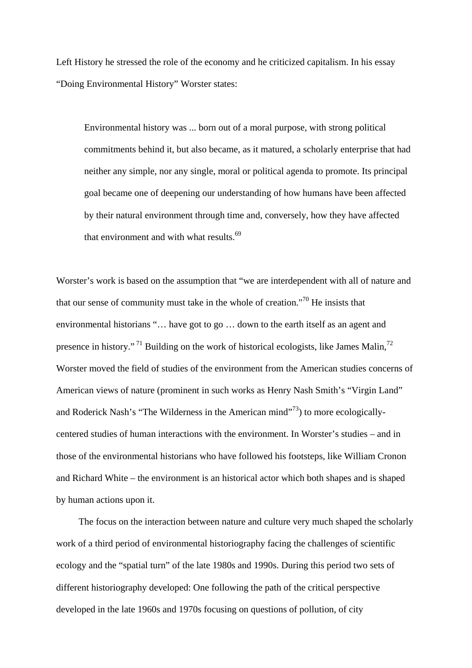Left History he stressed the role of the economy and he criticized capitalism. In his essay "Doing Environmental History" Worster states:

Environmental history was ... born out of a moral purpose, with strong political commitments behind it, but also became, as it matured, a scholarly enterprise that had neither any simple, nor any single, moral or political agenda to promote. Its principal goal became one of deepening our understanding of how humans have been affected by their natural environment through time and, conversely, how they have affected that environment and with what results.<sup>69</sup>

Worster's work is based on the assumption that "we are interdependent with all of nature and that our sense of community must take in the whole of creation."<sup>70</sup> He insists that environmental historians "… have got to go … down to the earth itself as an agent and presence in history."<sup>71</sup> Building on the work of historical ecologists, like James Malin,<sup>72</sup> Worster moved the field of studies of the environment from the American studies concerns of American views of nature (prominent in such works as Henry Nash Smith's "Virgin Land" and Roderick Nash's "The Wilderness in the American mind"<sup>73</sup>) to more ecologicallycentered studies of human interactions with the environment. In Worster's studies – and in those of the environmental historians who have followed his footsteps, like William Cronon and Richard White – the environment is an historical actor which both shapes and is shaped by human actions upon it.

The focus on the interaction between nature and culture very much shaped the scholarly work of a third period of environmental historiography facing the challenges of scientific ecology and the "spatial turn" of the late 1980s and 1990s. During this period two sets of different historiography developed: One following the path of the critical perspective developed in the late 1960s and 1970s focusing on questions of pollution, of city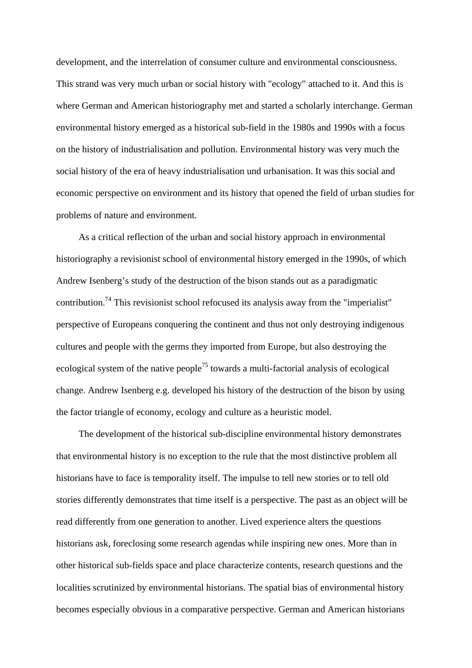development, and the interrelation of consumer culture and environmental consciousness. This strand was very much urban or social history with "ecology" attached to it. And this is where German and American historiography met and started a scholarly interchange. German environmental history emerged as a historical sub-field in the 1980s and 1990s with a focus on the history of industrialisation and pollution. Environmental history was very much the social history of the era of heavy industrialisation und urbanisation. It was this social and economic perspective on environment and its history that opened the field of urban studies for problems of nature and environment.

As a critical reflection of the urban and social history approach in environmental historiography a revisionist school of environmental history emerged in the 1990s, of which Andrew Isenberg's study of the destruction of the bison stands out as a paradigmatic contribution.74 This revisionist school refocused its analysis away from the "imperialist" perspective of Europeans conquering the continent and thus not only destroying indigenous cultures and people with the germs they imported from Europe, but also destroying the ecological system of the native people<sup>75</sup> towards a multi-factorial analysis of ecological change. Andrew Isenberg e.g. developed his history of the destruction of the bison by using the factor triangle of economy, ecology and culture as a heuristic model.

The development of the historical sub-discipline environmental history demonstrates that environmental history is no exception to the rule that the most distinctive problem all historians have to face is temporality itself. The impulse to tell new stories or to tell old stories differently demonstrates that time itself is a perspective. The past as an object will be read differently from one generation to another. Lived experience alters the questions historians ask, foreclosing some research agendas while inspiring new ones. More than in other historical sub-fields space and place characterize contents, research questions and the localities scrutinized by environmental historians. The spatial bias of environmental history becomes especially obvious in a comparative perspective. German and American historians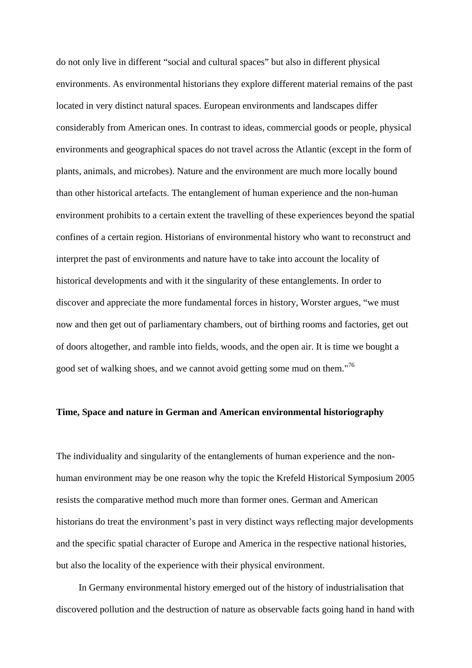do not only live in different "social and cultural spaces" but also in different physical environments. As environmental historians they explore different material remains of the past located in very distinct natural spaces. European environments and landscapes differ considerably from American ones. In contrast to ideas, commercial goods or people, physical environments and geographical spaces do not travel across the Atlantic (except in the form of plants, animals, and microbes). Nature and the environment are much more locally bound than other historical artefacts. The entanglement of human experience and the non-human environment prohibits to a certain extent the travelling of these experiences beyond the spatial confines of a certain region. Historians of environmental history who want to reconstruct and interpret the past of environments and nature have to take into account the locality of historical developments and with it the singularity of these entanglements. In order to discover and appreciate the more fundamental forces in history, Worster argues, "we must now and then get out of parliamentary chambers, out of birthing rooms and factories, get out of doors altogether, and ramble into fields, woods, and the open air. It is time we bought a good set of walking shoes, and we cannot avoid getting some mud on them."<sup>76</sup>

### **Time, Space and nature in German and American environmental historiography**

The individuality and singularity of the entanglements of human experience and the nonhuman environment may be one reason why the topic the Krefeld Historical Symposium 2005 resists the comparative method much more than former ones. German and American historians do treat the environment's past in very distinct ways reflecting major developments and the specific spatial character of Europe and America in the respective national histories, but also the locality of the experience with their physical environment.

In Germany environmental history emerged out of the history of industrialisation that discovered pollution and the destruction of nature as observable facts going hand in hand with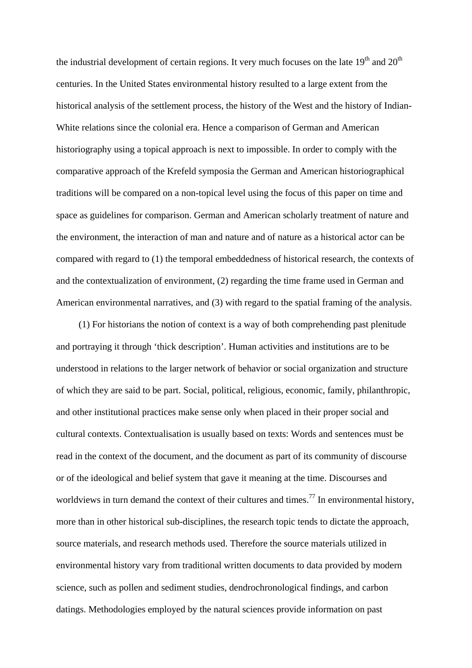the industrial development of certain regions. It very much focuses on the late  $19<sup>th</sup>$  and  $20<sup>th</sup>$ centuries. In the United States environmental history resulted to a large extent from the historical analysis of the settlement process, the history of the West and the history of Indian-White relations since the colonial era. Hence a comparison of German and American historiography using a topical approach is next to impossible. In order to comply with the comparative approach of the Krefeld symposia the German and American historiographical traditions will be compared on a non-topical level using the focus of this paper on time and space as guidelines for comparison. German and American scholarly treatment of nature and the environment, the interaction of man and nature and of nature as a historical actor can be compared with regard to (1) the temporal embeddedness of historical research, the contexts of and the contextualization of environment, (2) regarding the time frame used in German and American environmental narratives, and (3) with regard to the spatial framing of the analysis.

(1) For historians the notion of context is a way of both comprehending past plenitude and portraying it through 'thick description'. Human activities and institutions are to be understood in relations to the larger network of behavior or social organization and structure of which they are said to be part. Social, political, religious, economic, family, philanthropic, and other institutional practices make sense only when placed in their proper social and cultural contexts. Contextualisation is usually based on texts: Words and sentences must be read in the context of the document, and the document as part of its community of discourse or of the ideological and belief system that gave it meaning at the time. Discourses and worldviews in turn demand the context of their cultures and times.<sup>77</sup> In environmental history, more than in other historical sub-disciplines, the research topic tends to dictate the approach, source materials, and research methods used. Therefore the source materials utilized in environmental history vary from traditional written documents to data provided by modern science, such as pollen and sediment studies, dendrochronological findings, and carbon datings. Methodologies employed by the natural sciences provide information on past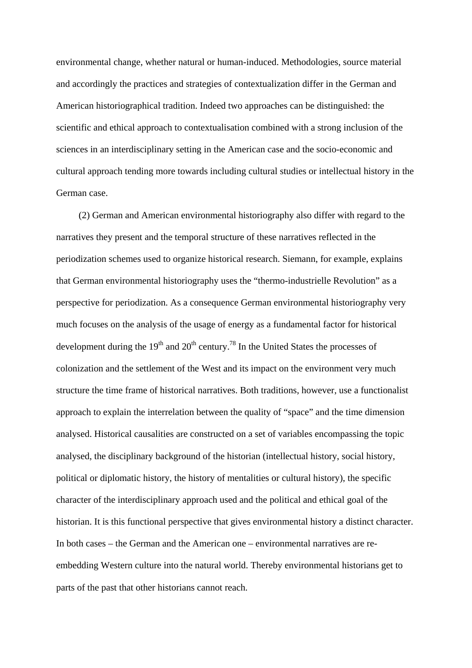environmental change, whether natural or human-induced. Methodologies, source material and accordingly the practices and strategies of contextualization differ in the German and American historiographical tradition. Indeed two approaches can be distinguished: the scientific and ethical approach to contextualisation combined with a strong inclusion of the sciences in an interdisciplinary setting in the American case and the socio-economic and cultural approach tending more towards including cultural studies or intellectual history in the German case.

(2) German and American environmental historiography also differ with regard to the narratives they present and the temporal structure of these narratives reflected in the periodization schemes used to organize historical research. Siemann, for example, explains that German environmental historiography uses the "thermo-industrielle Revolution" as a perspective for periodization. As a consequence German environmental historiography very much focuses on the analysis of the usage of energy as a fundamental factor for historical development during the  $19<sup>th</sup>$  and  $20<sup>th</sup>$  century.<sup>78</sup> In the United States the processes of colonization and the settlement of the West and its impact on the environment very much structure the time frame of historical narratives. Both traditions, however, use a functionalist approach to explain the interrelation between the quality of "space" and the time dimension analysed. Historical causalities are constructed on a set of variables encompassing the topic analysed, the disciplinary background of the historian (intellectual history, social history, political or diplomatic history, the history of mentalities or cultural history), the specific character of the interdisciplinary approach used and the political and ethical goal of the historian. It is this functional perspective that gives environmental history a distinct character. In both cases – the German and the American one – environmental narratives are reembedding Western culture into the natural world. Thereby environmental historians get to parts of the past that other historians cannot reach.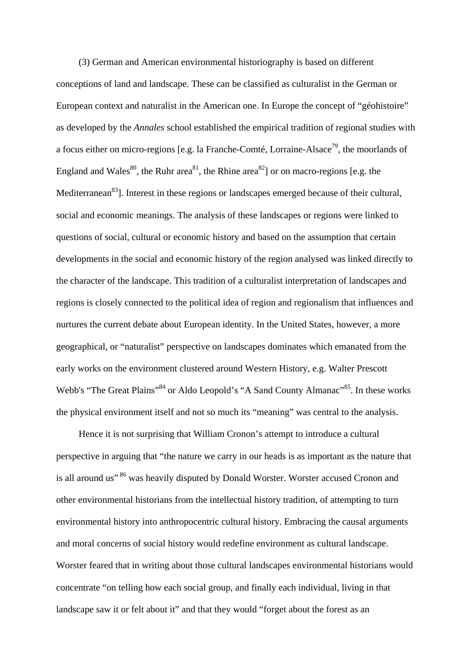(3) German and American environmental historiography is based on different conceptions of land and landscape. These can be classified as culturalist in the German or European context and naturalist in the American one. In Europe the concept of "géohistoire" as developed by the *Annales* school established the empirical tradition of regional studies with a focus either on micro-regions [e.g. la Franche-Comté, Lorraine-Alsace<sup>79</sup>, the moorlands of England and Wales<sup>80</sup>, the Ruhr area<sup>81</sup>, the Rhine area<sup>82</sup> or on macro-regions [e.g. the Mediterranean<sup>83</sup>]. Interest in these regions or landscapes emerged because of their cultural, social and economic meanings. The analysis of these landscapes or regions were linked to questions of social, cultural or economic history and based on the assumption that certain developments in the social and economic history of the region analysed was linked directly to the character of the landscape. This tradition of a culturalist interpretation of landscapes and regions is closely connected to the political idea of region and regionalism that influences and nurtures the current debate about European identity. In the United States, however, a more geographical, or "naturalist" perspective on landscapes dominates which emanated from the early works on the environment clustered around Western History, e.g. Walter Prescott Webb's "The Great Plains"<sup>84</sup> or Aldo Leopold's "A Sand County Almanac"<sup>85</sup>. In these works the physical environment itself and not so much its "meaning" was central to the analysis.

Hence it is not surprising that William Cronon's attempt to introduce a cultural perspective in arguing that "the nature we carry in our heads is as important as the nature that is all around us" <sup>86</sup> was heavily disputed by Donald Worster. Worster accused Cronon and other environmental historians from the intellectual history tradition, of attempting to turn environmental history into anthropocentric cultural history. Embracing the causal arguments and moral concerns of social history would redefine environment as cultural landscape. Worster feared that in writing about those cultural landscapes environmental historians would concentrate "on telling how each social group, and finally each individual, living in that landscape saw it or felt about it" and that they would "forget about the forest as an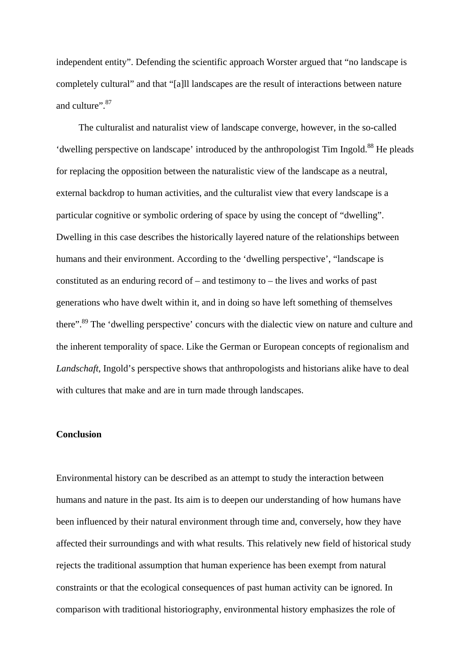independent entity". Defending the scientific approach Worster argued that "no landscape is completely cultural" and that "[a]ll landscapes are the result of interactions between nature and culture". 87

The culturalist and naturalist view of landscape converge, however, in the so-called 'dwelling perspective on landscape' introduced by the anthropologist Tim Ingold.<sup>88</sup> He pleads for replacing the opposition between the naturalistic view of the landscape as a neutral, external backdrop to human activities, and the culturalist view that every landscape is a particular cognitive or symbolic ordering of space by using the concept of "dwelling". Dwelling in this case describes the historically layered nature of the relationships between humans and their environment. According to the 'dwelling perspective', "landscape is constituted as an enduring record of – and testimony to – the lives and works of past generations who have dwelt within it, and in doing so have left something of themselves there".89 The 'dwelling perspective' concurs with the dialectic view on nature and culture and the inherent temporality of space. Like the German or European concepts of regionalism and *Landschaft*, Ingold's perspective shows that anthropologists and historians alike have to deal with cultures that make and are in turn made through landscapes.

### **Conclusion**

Environmental history can be described as an attempt to study the interaction between humans and nature in the past. Its aim is to deepen our understanding of how humans have been influenced by their natural environment through time and, conversely, how they have affected their surroundings and with what results. This relatively new field of historical study rejects the traditional assumption that human experience has been exempt from natural constraints or that the ecological consequences of past human activity can be ignored. In comparison with traditional historiography, environmental history emphasizes the role of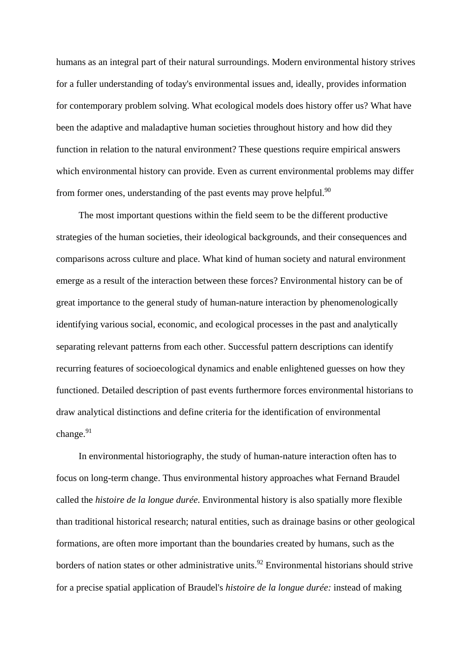humans as an integral part of their natural surroundings. Modern environmental history strives for a fuller understanding of today's environmental issues and, ideally, provides information for contemporary problem solving. What ecological models does history offer us? What have been the adaptive and maladaptive human societies throughout history and how did they function in relation to the natural environment? These questions require empirical answers which environmental history can provide. Even as current environmental problems may differ from former ones, understanding of the past events may prove helpful. $90$ 

The most important questions within the field seem to be the different productive strategies of the human societies, their ideological backgrounds, and their consequences and comparisons across culture and place. What kind of human society and natural environment emerge as a result of the interaction between these forces? Environmental history can be of great importance to the general study of human-nature interaction by phenomenologically identifying various social, economic, and ecological processes in the past and analytically separating relevant patterns from each other. Successful pattern descriptions can identify recurring features of socioecological dynamics and enable enlightened guesses on how they functioned. Detailed description of past events furthermore forces environmental historians to draw analytical distinctions and define criteria for the identification of environmental  $change.<sup>91</sup>$ 

In environmental historiography, the study of human-nature interaction often has to focus on long-term change. Thus environmental history approaches what Fernand Braudel called the *histoire de la longue durée*. Environmental history is also spatially more flexible than traditional historical research; natural entities, such as drainage basins or other geological formations, are often more important than the boundaries created by humans, such as the borders of nation states or other administrative units.<sup>92</sup> Environmental historians should strive for a precise spatial application of Braudel's *histoire de la longue durée:* instead of making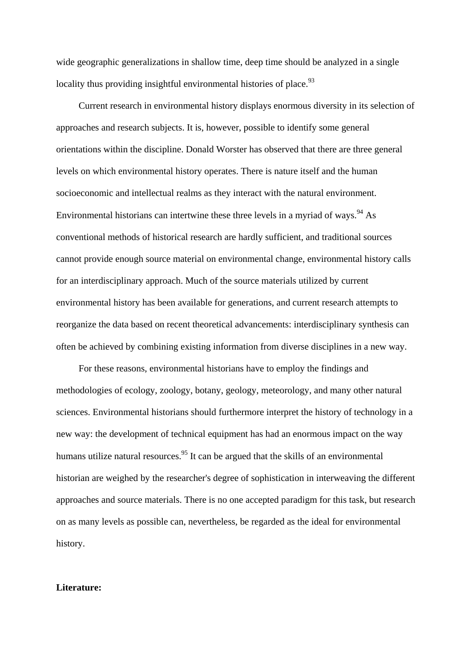wide geographic generalizations in shallow time, deep time should be analyzed in a single locality thus providing insightful environmental histories of place.  $93$ 

Current research in environmental history displays enormous diversity in its selection of approaches and research subjects. It is, however, possible to identify some general orientations within the discipline. Donald Worster has observed that there are three general levels on which environmental history operates. There is nature itself and the human socioeconomic and intellectual realms as they interact with the natural environment. Environmental historians can intertwine these three levels in a myriad of ways.  $^{94}$  As conventional methods of historical research are hardly sufficient, and traditional sources cannot provide enough source material on environmental change, environmental history calls for an interdisciplinary approach. Much of the source materials utilized by current environmental history has been available for generations, and current research attempts to reorganize the data based on recent theoretical advancements: interdisciplinary synthesis can often be achieved by combining existing information from diverse disciplines in a new way.

For these reasons, environmental historians have to employ the findings and methodologies of ecology, zoology, botany, geology, meteorology, and many other natural sciences. Environmental historians should furthermore interpret the history of technology in a new way: the development of technical equipment has had an enormous impact on the way humans utilize natural resources.<sup>95</sup> It can be argued that the skills of an environmental historian are weighed by the researcher's degree of sophistication in interweaving the different approaches and source materials. There is no one accepted paradigm for this task, but research on as many levels as possible can, nevertheless, be regarded as the ideal for environmental history.

#### **Literature:**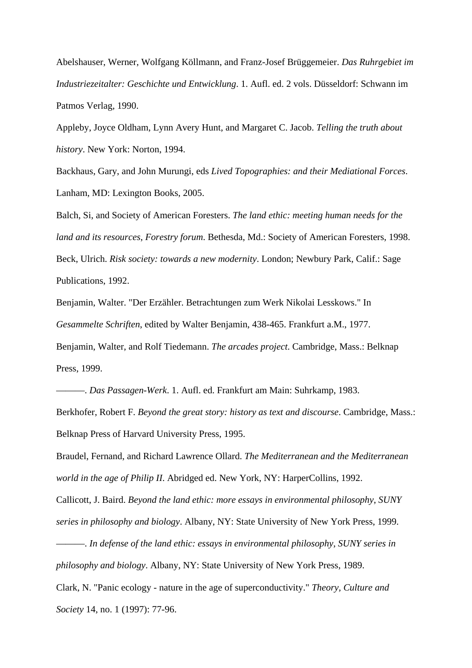Abelshauser, Werner, Wolfgang Köllmann, and Franz-Josef Brüggemeier. *Das Ruhrgebiet im Industriezeitalter: Geschichte und Entwicklung*. 1. Aufl. ed. 2 vols. Düsseldorf: Schwann im Patmos Verlag, 1990.

Appleby, Joyce Oldham, Lynn Avery Hunt, and Margaret C. Jacob. *Telling the truth about history*. New York: Norton, 1994.

Backhaus, Gary, and John Murungi, eds *Lived Topographies: and their Mediational Forces*. Lanham, MD: Lexington Books, 2005.

Balch, Si, and Society of American Foresters. *The land ethic: meeting human needs for the land and its resources*, *Forestry forum*. Bethesda, Md.: Society of American Foresters, 1998. Beck, Ulrich. *Risk society: towards a new modernity*. London; Newbury Park, Calif.: Sage Publications, 1992.

Benjamin, Walter. "Der Erzähler. Betrachtungen zum Werk Nikolai Lesskows." In *Gesammelte Schriften*, edited by Walter Benjamin, 438-465. Frankfurt a.M., 1977. Benjamin, Walter, and Rolf Tiedemann. *The arcades project*. Cambridge, Mass.: Belknap Press, 1999.

———. *Das Passagen-Werk*. 1. Aufl. ed. Frankfurt am Main: Suhrkamp, 1983. Berkhofer, Robert F. *Beyond the great story: history as text and discourse*. Cambridge, Mass.: Belknap Press of Harvard University Press, 1995.

Braudel, Fernand, and Richard Lawrence Ollard. *The Mediterranean and the Mediterranean world in the age of Philip II*. Abridged ed. New York, NY: HarperCollins, 1992.

Callicott, J. Baird. *Beyond the land ethic: more essays in environmental philosophy*, *SUNY series in philosophy and biology*. Albany, NY: State University of New York Press, 1999.

———. *In defense of the land ethic: essays in environmental philosophy*, *SUNY series in philosophy and biology*. Albany, NY: State University of New York Press, 1989.

Clark, N. "Panic ecology - nature in the age of superconductivity." *Theory, Culture and Society* 14, no. 1 (1997): 77-96.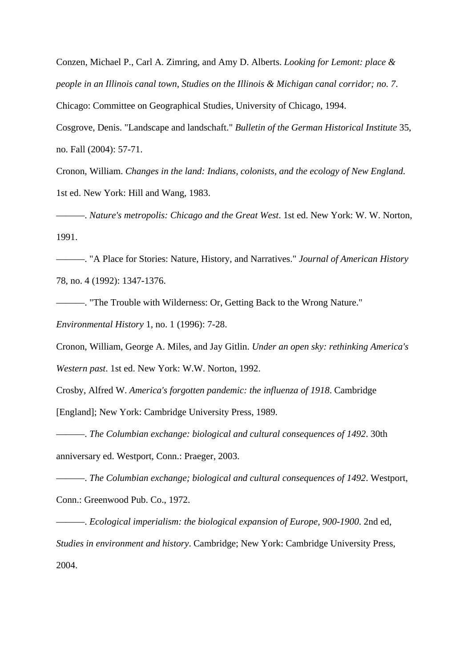Conzen, Michael P., Carl A. Zimring, and Amy D. Alberts. *Looking for Lemont: place & people in an Illinois canal town*, *Studies on the Illinois & Michigan canal corridor; no. 7*. Chicago: Committee on Geographical Studies, University of Chicago, 1994.

Cosgrove, Denis. "Landscape and landschaft." *Bulletin of the German Historical Institute* 35, no. Fall (2004): 57-71.

Cronon, William. *Changes in the land: Indians, colonists, and the ecology of New England*. 1st ed. New York: Hill and Wang, 1983.

———. *Nature's metropolis: Chicago and the Great West*. 1st ed. New York: W. W. Norton, 1991.

———. "A Place for Stories: Nature, History, and Narratives." *Journal of American History* 78, no. 4 (1992): 1347-1376.

———. "The Trouble with Wilderness: Or, Getting Back to the Wrong Nature."

*Environmental History* 1, no. 1 (1996): 7-28.

Cronon, William, George A. Miles, and Jay Gitlin. *Under an open sky: rethinking America's* 

*Western past*. 1st ed. New York: W.W. Norton, 1992.

Crosby, Alfred W. *America's forgotten pandemic: the influenza of 1918*. Cambridge

[England]; New York: Cambridge University Press, 1989.

———. *The Columbian exchange: biological and cultural consequences of 1492*. 30th anniversary ed. Westport, Conn.: Praeger, 2003.

———. *The Columbian exchange; biological and cultural consequences of 1492*. Westport, Conn.: Greenwood Pub. Co., 1972.

———. *Ecological imperialism: the biological expansion of Europe, 900-1900*. 2nd ed, *Studies in environment and history*. Cambridge; New York: Cambridge University Press, 2004.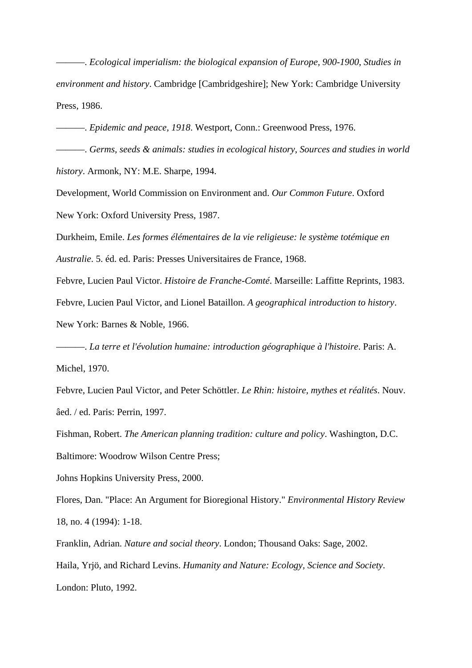———. *Ecological imperialism: the biological expansion of Europe, 900-1900*, *Studies in environment and history*. Cambridge [Cambridgeshire]; New York: Cambridge University Press, 1986.

———. *Epidemic and peace, 1918*. Westport, Conn.: Greenwood Press, 1976.

———. *Germs, seeds & animals: studies in ecological history*, *Sources and studies in world history*. Armonk, NY: M.E. Sharpe, 1994.

Development, World Commission on Environment and. *Our Common Future*. Oxford New York: Oxford University Press, 1987.

Durkheim, Emile. *Les formes élémentaires de la vie religieuse: le système totémique en* 

*Australie*. 5. éd. ed. Paris: Presses Universitaires de France, 1968.

Febvre, Lucien Paul Victor. *Histoire de Franche-Comté*. Marseille: Laffitte Reprints, 1983.

Febvre, Lucien Paul Victor, and Lionel Bataillon. *A geographical introduction to history*.

New York: Barnes & Noble, 1966.

———. *La terre et l'évolution humaine: introduction géographique à l'histoire*. Paris: A. Michel, 1970.

Febvre, Lucien Paul Victor, and Peter Schöttler. *Le Rhin: histoire, mythes et réalités*. Nouv. âed. / ed. Paris: Perrin, 1997.

Fishman, Robert. *The American planning tradition: culture and policy*. Washington, D.C.

Baltimore: Woodrow Wilson Centre Press;

Johns Hopkins University Press, 2000.

Flores, Dan. "Place: An Argument for Bioregional History." *Environmental History Review* 18, no. 4 (1994): 1-18.

Franklin, Adrian. *Nature and social theory*. London; Thousand Oaks: Sage, 2002.

Haila, Yrjö, and Richard Levins. *Humanity and Nature: Ecology, Science and Society*. London: Pluto, 1992.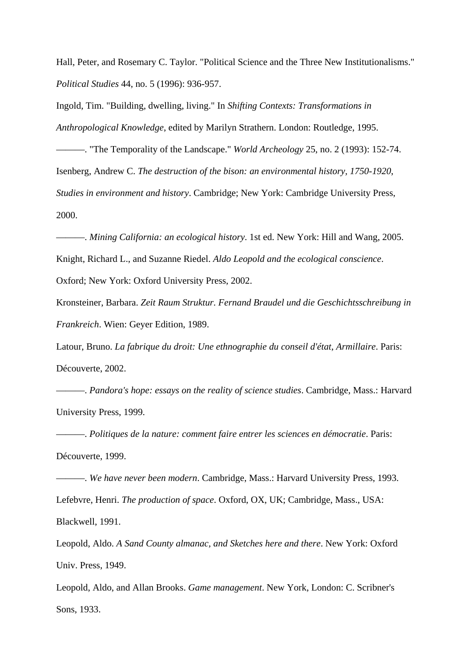Hall, Peter, and Rosemary C. Taylor. "Political Science and the Three New Institutionalisms." *Political Studies* 44, no. 5 (1996): 936-957.

Ingold, Tim. "Building, dwelling, living." In *Shifting Contexts: Transformations in Anthropological Knowledge*, edited by Marilyn Strathern. London: Routledge, 1995.

———. "The Temporality of the Landscape." *World Archeology* 25, no. 2 (1993): 152-74. Isenberg, Andrew C. *The destruction of the bison: an environmental history, 1750-1920*, *Studies in environment and history*. Cambridge; New York: Cambridge University Press, 2000.

———. *Mining California: an ecological history*. 1st ed. New York: Hill and Wang, 2005. Knight, Richard L., and Suzanne Riedel. *Aldo Leopold and the ecological conscience*. Oxford; New York: Oxford University Press, 2002.

Kronsteiner, Barbara. *Zeit Raum Struktur. Fernand Braudel und die Geschichtsschreibung in Frankreich*. Wien: Geyer Edition, 1989.

Latour, Bruno. *La fabrique du droit: Une ethnographie du conseil d'état*, *Armillaire*. Paris: Découverte, 2002.

———. *Pandora's hope: essays on the reality of science studies*. Cambridge, Mass.: Harvard University Press, 1999.

———. *Politiques de la nature: comment faire entrer les sciences en démocratie*. Paris: Découverte, 1999.

———. *We have never been modern*. Cambridge, Mass.: Harvard University Press, 1993. Lefebvre, Henri. *The production of space*. Oxford, OX, UK; Cambridge, Mass., USA: Blackwell, 1991.

Leopold, Aldo. *A Sand County almanac, and Sketches here and there*. New York: Oxford Univ. Press, 1949.

Leopold, Aldo, and Allan Brooks. *Game management*. New York, London: C. Scribner's Sons, 1933.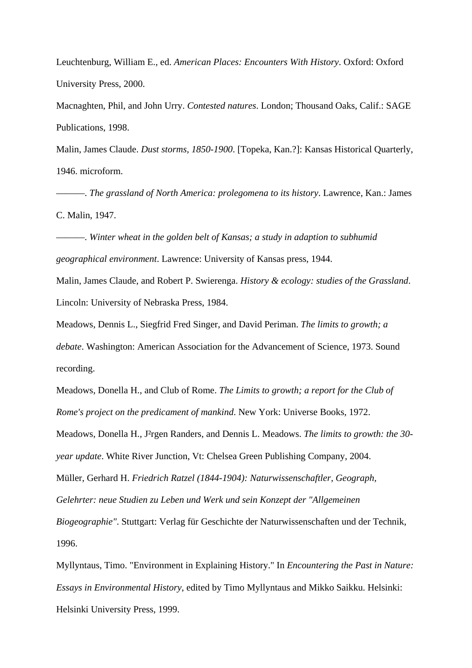Leuchtenburg, William E., ed. *American Places: Encounters With History*. Oxford: Oxford University Press, 2000.

Macnaghten, Phil, and John Urry. *Contested natures*. London; Thousand Oaks, Calif.: SAGE Publications, 1998.

Malin, James Claude. *Dust storms, 1850-1900*. [Topeka, Kan.?]: Kansas Historical Quarterly, 1946. microform.

———. *The grassland of North America: prolegomena to its history*. Lawrence, Kan.: James C. Malin, 1947.

———. *Winter wheat in the golden belt of Kansas; a study in adaption to subhumid geographical environment*. Lawrence: University of Kansas press, 1944.

Malin, James Claude, and Robert P. Swierenga. *History & ecology: studies of the Grassland*. Lincoln: University of Nebraska Press, 1984.

Meadows, Dennis L., Siegfrid Fred Singer, and David Periman. *The limits to growth; a debate*. Washington: American Association for the Advancement of Science, 1973. Sound recording.

Meadows, Donella H., and Club of Rome. *The Limits to growth; a report for the Club of Rome's project on the predicament of mankind*. New York: Universe Books, 1972.

Meadows, Donella H., J²rgen Randers, and Dennis L. Meadows. *The limits to growth: the 30 year update*. White River Junction, Vt: Chelsea Green Publishing Company, 2004.

Müller, Gerhard H. *Friedrich Ratzel (1844-1904): Naturwissenschaftler, Geograph,* 

*Gelehrter: neue Studien zu Leben und Werk und sein Konzept der "Allgemeinen* 

*Biogeographie"*. Stuttgart: Verlag für Geschichte der Naturwissenschaften und der Technik, 1996.

Myllyntaus, Timo. "Environment in Explaining History." In *Encountering the Past in Nature: Essays in Environmental History*, edited by Timo Myllyntaus and Mikko Saikku. Helsinki: Helsinki University Press, 1999.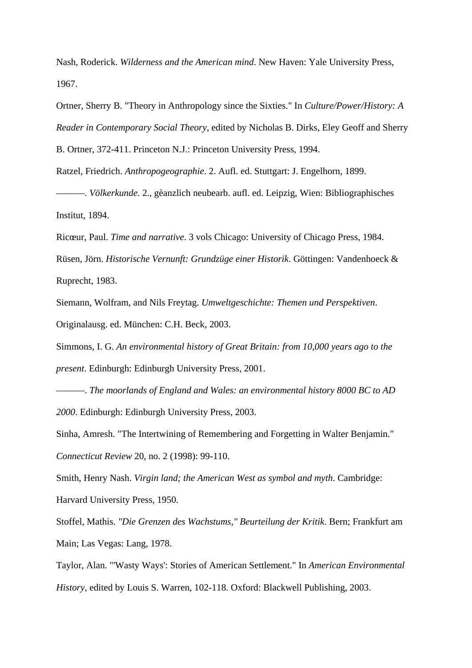Nash, Roderick. *Wilderness and the American mind*. New Haven: Yale University Press, 1967.

Ortner, Sherry B. "Theory in Anthropology since the Sixties." In *Culture/Power/History: A Reader in Contemporary Social Theory*, edited by Nicholas B. Dirks, Eley Geoff and Sherry

B. Ortner, 372-411. Princeton N.J.: Princeton University Press, 1994.

Ratzel, Friedrich. *Anthropogeographie*. 2. Aufl. ed. Stuttgart: J. Engelhorn, 1899.

———. *Völkerkunde*. 2., gèanzlich neubearb. aufl. ed. Leipzig, Wien: Bibliographisches Institut, 1894.

Ricœur, Paul. *Time and narrative*. 3 vols Chicago: University of Chicago Press, 1984.

Rüsen, Jörn. *Historische Vernunft: Grundzüge einer Historik*. Göttingen: Vandenhoeck & Ruprecht, 1983.

Siemann, Wolfram, and Nils Freytag. *Umweltgeschichte: Themen und Perspektiven*. Originalausg. ed. München: C.H. Beck, 2003.

Simmons, I. G. *An environmental history of Great Britain: from 10,000 years ago to the present*. Edinburgh: Edinburgh University Press, 2001.

———. *The moorlands of England and Wales: an environmental history 8000 BC to AD 2000*. Edinburgh: Edinburgh University Press, 2003.

Sinha, Amresh. "The Intertwining of Remembering and Forgetting in Walter Benjamin." *Connecticut Review* 20, no. 2 (1998): 99-110.

Smith, Henry Nash. *Virgin land; the American West as symbol and myth*. Cambridge: Harvard University Press, 1950.

Stoffel, Mathis. *"Die Grenzen des Wachstums," Beurteilung der Kritik*. Bern; Frankfurt am Main; Las Vegas: Lang, 1978.

Taylor, Alan. "'Wasty Ways': Stories of American Settlement." In *American Environmental History*, edited by Louis S. Warren, 102-118. Oxford: Blackwell Publishing, 2003.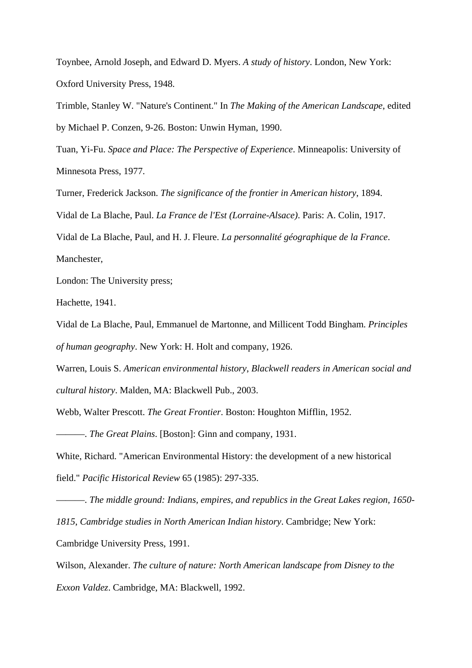Toynbee, Arnold Joseph, and Edward D. Myers. *A study of history*. London, New York: Oxford University Press, 1948.

Trimble, Stanley W. "Nature's Continent." In *The Making of the American Landscape*, edited by Michael P. Conzen, 9-26. Boston: Unwin Hyman, 1990.

Tuan, Yi-Fu. *Space and Place: The Perspective of Experience*. Minneapolis: University of Minnesota Press, 1977.

Turner, Frederick Jackson. *The significance of the frontier in American history*, 1894.

Vidal de La Blache, Paul. *La France de l'Est (Lorraine-Alsace)*. Paris: A. Colin, 1917.

Vidal de La Blache, Paul, and H. J. Fleure. *La personnalité géographique de la France*. Manchester,

London: The University press;

Hachette, 1941.

Vidal de La Blache, Paul, Emmanuel de Martonne, and Millicent Todd Bingham. *Principles of human geography*. New York: H. Holt and company, 1926.

Warren, Louis S. *American environmental history*, *Blackwell readers in American social and cultural history*. Malden, MA: Blackwell Pub., 2003.

Webb, Walter Prescott. *The Great Frontier*. Boston: Houghton Mifflin, 1952.

———. *The Great Plains*. [Boston]: Ginn and company, 1931.

White, Richard. "American Environmental History: the development of a new historical

field." *Pacific Historical Review* 65 (1985): 297-335.

———. *The middle ground: Indians, empires, and republics in the Great Lakes region, 1650- 1815*, *Cambridge studies in North American Indian history*. Cambridge; New York: Cambridge University Press, 1991.

Wilson, Alexander. *The culture of nature: North American landscape from Disney to the Exxon Valdez*. Cambridge, MA: Blackwell, 1992.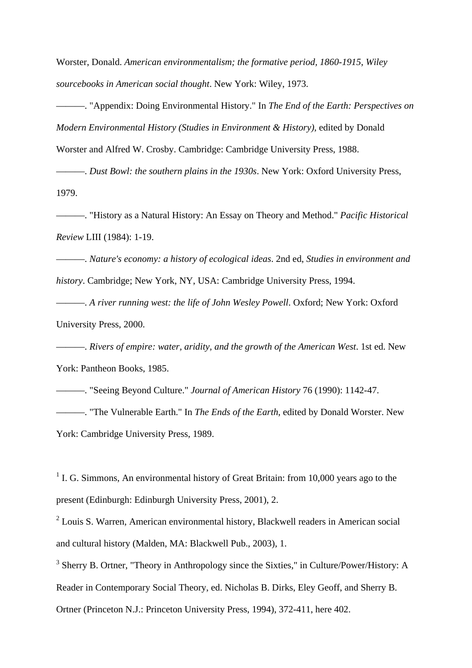Worster, Donald. *American environmentalism; the formative period, 1860-1915*, *Wiley sourcebooks in American social thought*. New York: Wiley, 1973.

———. "Appendix: Doing Environmental History." In *The End of the Earth: Perspectives on Modern Environmental History (Studies in Environment & History)*, edited by Donald

Worster and Alfred W. Crosby. Cambridge: Cambridge University Press, 1988.

———. *Dust Bowl: the southern plains in the 1930s*. New York: Oxford University Press, 1979.

———. "History as a Natural History: An Essay on Theory and Method." *Pacific Historical Review* LIII (1984): 1-19.

———. *Nature's economy: a history of ecological ideas*. 2nd ed, *Studies in environment and history*. Cambridge; New York, NY, USA: Cambridge University Press, 1994.

———. *A river running west: the life of John Wesley Powell*. Oxford; New York: Oxford University Press, 2000.

———. *Rivers of empire: water, aridity, and the growth of the American West*. 1st ed. New York: Pantheon Books, 1985.

———. "Seeing Beyond Culture." *Journal of American History* 76 (1990): 1142-47. ———. "The Vulnerable Earth." In *The Ends of the Earth*, edited by Donald Worster. New York: Cambridge University Press, 1989.

 $1$  I. G. Simmons, An environmental history of Great Britain: from 10,000 years ago to the present (Edinburgh: Edinburgh University Press, 2001), 2.

<sup>2</sup> Louis S. Warren, American environmental history, Blackwell readers in American social and cultural history (Malden, MA: Blackwell Pub., 2003), 1.

<sup>3</sup> Sherry B. Ortner, "Theory in Anthropology since the Sixties," in Culture/Power/History: A Reader in Contemporary Social Theory, ed. Nicholas B. Dirks, Eley Geoff, and Sherry B. Ortner (Princeton N.J.: Princeton University Press, 1994), 372-411, here 402.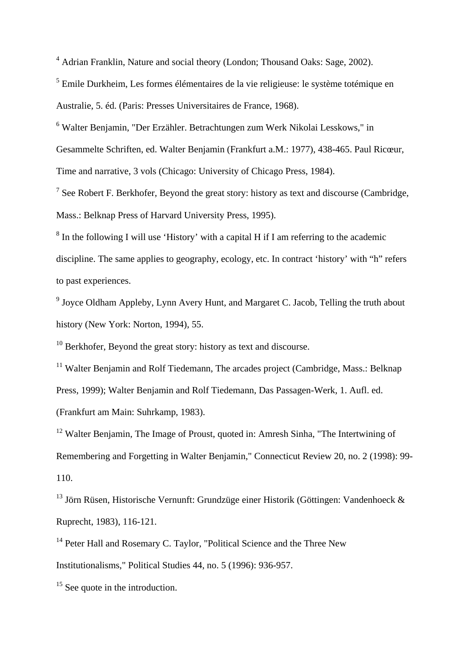<sup>4</sup> Adrian Franklin, Nature and social theory (London; Thousand Oaks: Sage, 2002).

<sup>5</sup> Emile Durkheim, Les formes élémentaires de la vie religieuse: le système totémique en

Australie, 5. éd. (Paris: Presses Universitaires de France, 1968).

<sup>6</sup> Walter Benjamin, "Der Erzähler. Betrachtungen zum Werk Nikolai Lesskows," in

Gesammelte Schriften, ed. Walter Benjamin (Frankfurt a.M.: 1977), 438-465. Paul Ricœur,

Time and narrative, 3 vols (Chicago: University of Chicago Press, 1984).

<sup>7</sup> See Robert F. Berkhofer, Beyond the great story: history as text and discourse (Cambridge, Mass.: Belknap Press of Harvard University Press, 1995).

<sup>8</sup> In the following I will use 'History' with a capital H if I am referring to the academic discipline. The same applies to geography, ecology, etc. In contract 'history' with "h" refers to past experiences.

<sup>9</sup> Joyce Oldham Appleby, Lynn Avery Hunt, and Margaret C. Jacob, Telling the truth about history (New York: Norton, 1994), 55.

 $10$  Berkhofer. Beyond the great story: history as text and discourse.

<sup>11</sup> Walter Benjamin and Rolf Tiedemann, The arcades project (Cambridge, Mass.: Belknap) Press, 1999); Walter Benjamin and Rolf Tiedemann, Das Passagen-Werk, 1. Aufl. ed. (Frankfurt am Main: Suhrkamp, 1983).

<sup>12</sup> Walter Benjamin, The Image of Proust, quoted in: Amresh Sinha, "The Intertwining of Remembering and Forgetting in Walter Benjamin," Connecticut Review 20, no. 2 (1998): 99- 110.

<sup>13</sup> Jörn Rüsen, Historische Vernunft: Grundzüge einer Historik (Göttingen: Vandenhoeck & Ruprecht, 1983), 116-121.

<sup>14</sup> Peter Hall and Rosemary C. Taylor, "Political Science and the Three New

Institutionalisms," Political Studies 44, no. 5 (1996): 936-957.

<sup>15</sup> See quote in the introduction.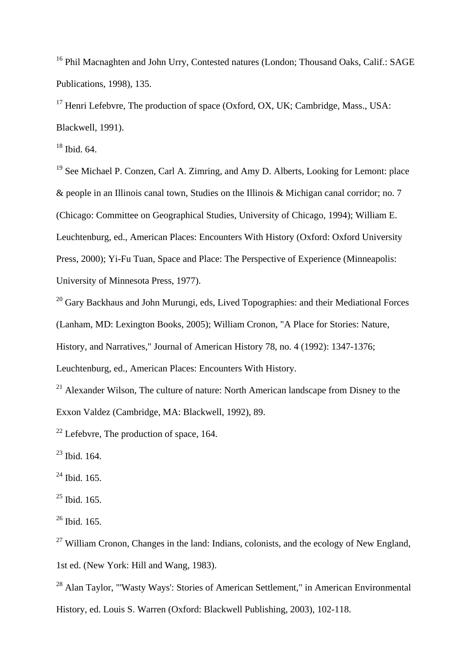<sup>16</sup> Phil Macnaghten and John Urry, Contested natures (London; Thousand Oaks, Calif.: SAGE Publications, 1998), 135.

<sup>17</sup> Henri Lefebvre, The production of space (Oxford, OX, UK; Cambridge, Mass., USA: Blackwell, 1991).

 $18$  Ibid. 64.

<sup>19</sup> See Michael P. Conzen, Carl A. Zimring, and Amy D. Alberts, Looking for Lemont: place & people in an Illinois canal town, Studies on the Illinois & Michigan canal corridor; no. 7 (Chicago: Committee on Geographical Studies, University of Chicago, 1994); William E. Leuchtenburg, ed., American Places: Encounters With History (Oxford: Oxford University Press, 2000); Yi-Fu Tuan, Space and Place: The Perspective of Experience (Minneapolis: University of Minnesota Press, 1977).

<sup>20</sup> Gary Backhaus and John Murungi, eds, Lived Topographies: and their Mediational Forces (Lanham, MD: Lexington Books, 2005); William Cronon, "A Place for Stories: Nature,

History, and Narratives," Journal of American History 78, no. 4 (1992): 1347-1376;

Leuchtenburg, ed., American Places: Encounters With History.

 $21$  Alexander Wilson. The culture of nature: North American landscape from Disney to the Exxon Valdez (Cambridge, MA: Blackwell, 1992), 89.

 $22$  Lefebvre. The production of space, 164.

 $^{23}$  Ibid. 164.

 $24$  Ibid. 165.

 $25$  Ibid. 165.

 $26$  Ibid. 165.

<sup>27</sup> William Cronon, Changes in the land: Indians, colonists, and the ecology of New England, 1st ed. (New York: Hill and Wang, 1983).

<sup>28</sup> Alan Taylor, "'Wasty Ways': Stories of American Settlement," in American Environmental History, ed. Louis S. Warren (Oxford: Blackwell Publishing, 2003), 102-118.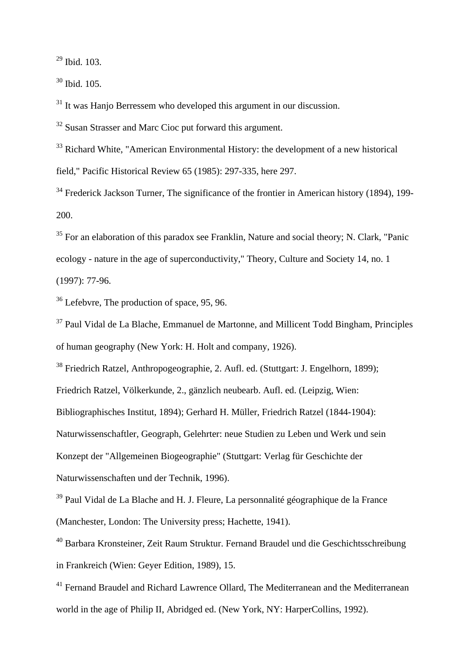<sup>29</sup> Ibid. 103.

 $30$  Ibid. 105.

<sup>31</sup> It was Hanjo Berressem who developed this argument in our discussion.

<sup>32</sup> Susan Strasser and Marc Cioc put forward this argument.

<sup>33</sup> Richard White, "American Environmental History: the development of a new historical field," Pacific Historical Review 65 (1985): 297-335, here 297.

<sup>34</sup> Frederick Jackson Turner, The significance of the frontier in American history (1894), 199-200.

 $35$  For an elaboration of this paradox see Franklin, Nature and social theory; N. Clark, "Panic ecology - nature in the age of superconductivity," Theory, Culture and Society 14, no. 1 (1997): 77-96.

<sup>36</sup> Lefebvre, The production of space, 95, 96.

<sup>37</sup> Paul Vidal de La Blache, Emmanuel de Martonne, and Millicent Todd Bingham, Principles of human geography (New York: H. Holt and company, 1926).

<sup>38</sup> Friedrich Ratzel, Anthropogeographie, 2. Aufl. ed. (Stuttgart: J. Engelhorn, 1899);

Friedrich Ratzel, Völkerkunde, 2., gänzlich neubearb. Aufl. ed. (Leipzig, Wien:

Bibliographisches Institut, 1894); Gerhard H. Müller, Friedrich Ratzel (1844-1904):

Naturwissenschaftler, Geograph, Gelehrter: neue Studien zu Leben und Werk und sein

Konzept der "Allgemeinen Biogeographie" (Stuttgart: Verlag für Geschichte der

Naturwissenschaften und der Technik, 1996).

<sup>39</sup> Paul Vidal de La Blache and H. J. Fleure, La personnalité géographique de la France (Manchester, London: The University press; Hachette, 1941).

<sup>40</sup> Barbara Kronsteiner, Zeit Raum Struktur. Fernand Braudel und die Geschichtsschreibung in Frankreich (Wien: Geyer Edition, 1989), 15.

<sup>41</sup> Fernand Braudel and Richard Lawrence Ollard, The Mediterranean and the Mediterranean world in the age of Philip II, Abridged ed. (New York, NY: HarperCollins, 1992).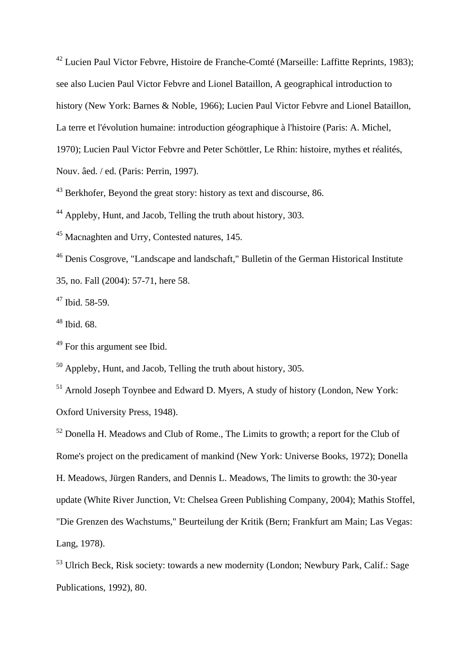<sup>42</sup> Lucien Paul Victor Febvre, Histoire de Franche-Comté (Marseille: Laffitte Reprints, 1983); see also Lucien Paul Victor Febvre and Lionel Bataillon, A geographical introduction to history (New York: Barnes & Noble, 1966); Lucien Paul Victor Febvre and Lionel Bataillon, La terre et l'évolution humaine: introduction géographique à l'histoire (Paris: A. Michel, 1970); Lucien Paul Victor Febvre and Peter Schöttler, Le Rhin: histoire, mythes et réalités, Nouv. âed. / ed. (Paris: Perrin, 1997).

<sup>43</sup> Berkhofer, Beyond the great story: history as text and discourse, 86.

<sup>44</sup> Appleby, Hunt, and Jacob, Telling the truth about history, 303.

<sup>45</sup> Macnaghten and Urry, Contested natures, 145.

<sup>46</sup> Denis Cosgrove, "Landscape and landschaft," Bulletin of the German Historical Institute 35, no. Fall (2004): 57-71, here 58.

 $47$  Ibid. 58-59.

<sup>48</sup> Ibid. 68.

<sup>49</sup> For this argument see Ibid.

<sup>50</sup> Appleby, Hunt, and Jacob, Telling the truth about history, 305.

<sup>51</sup> Arnold Joseph Toynbee and Edward D. Myers, A study of history (London, New York: Oxford University Press, 1948).

 $52$  Donella H. Meadows and Club of Rome., The Limits to growth; a report for the Club of Rome's project on the predicament of mankind (New York: Universe Books, 1972); Donella H. Meadows, Jürgen Randers, and Dennis L. Meadows, The limits to growth: the 30-year update (White River Junction, Vt: Chelsea Green Publishing Company, 2004); Mathis Stoffel, "Die Grenzen des Wachstums," Beurteilung der Kritik (Bern; Frankfurt am Main; Las Vegas: Lang, 1978).

<sup>53</sup> Ulrich Beck, Risk society: towards a new modernity (London; Newbury Park, Calif.: Sage Publications, 1992), 80.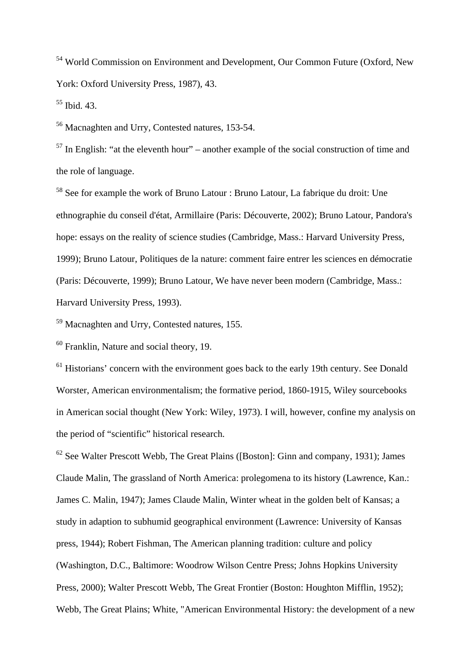<sup>54</sup> World Commission on Environment and Development, Our Common Future (Oxford, New York: Oxford University Press, 1987), 43.

 $55$  Ibid. 43.

<sup>56</sup> Macnaghten and Urry, Contested natures, 153-54.

 $57$  In English: "at the eleventh hour" – another example of the social construction of time and the role of language.

<sup>58</sup> See for example the work of Bruno Latour : Bruno Latour, La fabrique du droit: Une ethnographie du conseil d'état, Armillaire (Paris: Découverte, 2002); Bruno Latour, Pandora's hope: essays on the reality of science studies (Cambridge, Mass.: Harvard University Press, 1999); Bruno Latour, Politiques de la nature: comment faire entrer les sciences en démocratie (Paris: Découverte, 1999); Bruno Latour, We have never been modern (Cambridge, Mass.: Harvard University Press, 1993).

<sup>59</sup> Macnaghten and Urry, Contested natures, 155.

<sup>60</sup> Franklin, Nature and social theory, 19.

 $<sup>61</sup>$  Historians' concern with the environment goes back to the early 19th century. See Donald</sup> Worster, American environmentalism; the formative period, 1860-1915, Wiley sourcebooks in American social thought (New York: Wiley, 1973). I will, however, confine my analysis on the period of "scientific" historical research.

 $62$  See Walter Prescott Webb, The Great Plains ([Boston]: Ginn and company, 1931); James Claude Malin, The grassland of North America: prolegomena to its history (Lawrence, Kan.: James C. Malin, 1947); James Claude Malin, Winter wheat in the golden belt of Kansas; a study in adaption to subhumid geographical environment (Lawrence: University of Kansas press, 1944); Robert Fishman, The American planning tradition: culture and policy (Washington, D.C., Baltimore: Woodrow Wilson Centre Press; Johns Hopkins University Press, 2000); Walter Prescott Webb, The Great Frontier (Boston: Houghton Mifflin, 1952); Webb, The Great Plains; White, "American Environmental History: the development of a new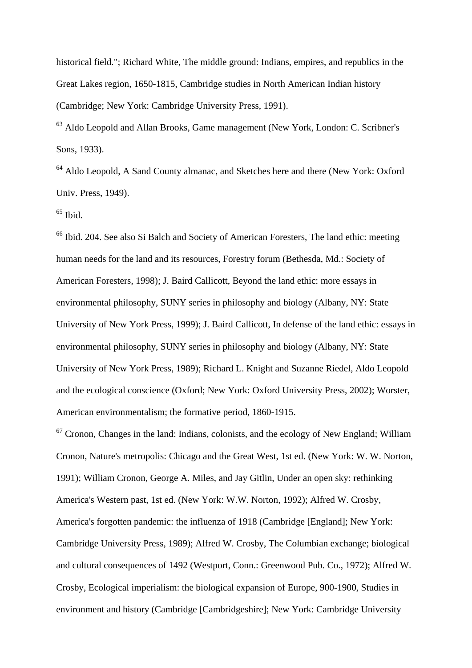historical field."; Richard White, The middle ground: Indians, empires, and republics in the Great Lakes region, 1650-1815, Cambridge studies in North American Indian history (Cambridge; New York: Cambridge University Press, 1991).

<sup>63</sup> Aldo Leopold and Allan Brooks, Game management (New York, London: C. Scribner's Sons, 1933).

<sup>64</sup> Aldo Leopold, A Sand County almanac, and Sketches here and there (New York: Oxford Univ. Press, 1949).

 $65$  Ibid.

<sup>66</sup> Ibid. 204. See also Si Balch and Society of American Foresters, The land ethic: meeting human needs for the land and its resources, Forestry forum (Bethesda, Md.: Society of American Foresters, 1998); J. Baird Callicott, Beyond the land ethic: more essays in environmental philosophy, SUNY series in philosophy and biology (Albany, NY: State University of New York Press, 1999); J. Baird Callicott, In defense of the land ethic: essays in environmental philosophy, SUNY series in philosophy and biology (Albany, NY: State University of New York Press, 1989); Richard L. Knight and Suzanne Riedel, Aldo Leopold and the ecological conscience (Oxford; New York: Oxford University Press, 2002); Worster, American environmentalism; the formative period, 1860-1915.

 $67$  Cronon, Changes in the land: Indians, colonists, and the ecology of New England; William Cronon, Nature's metropolis: Chicago and the Great West, 1st ed. (New York: W. W. Norton, 1991); William Cronon, George A. Miles, and Jay Gitlin, Under an open sky: rethinking America's Western past, 1st ed. (New York: W.W. Norton, 1992); Alfred W. Crosby, America's forgotten pandemic: the influenza of 1918 (Cambridge [England]; New York: Cambridge University Press, 1989); Alfred W. Crosby, The Columbian exchange; biological and cultural consequences of 1492 (Westport, Conn.: Greenwood Pub. Co., 1972); Alfred W. Crosby, Ecological imperialism: the biological expansion of Europe, 900-1900, Studies in environment and history (Cambridge [Cambridgeshire]; New York: Cambridge University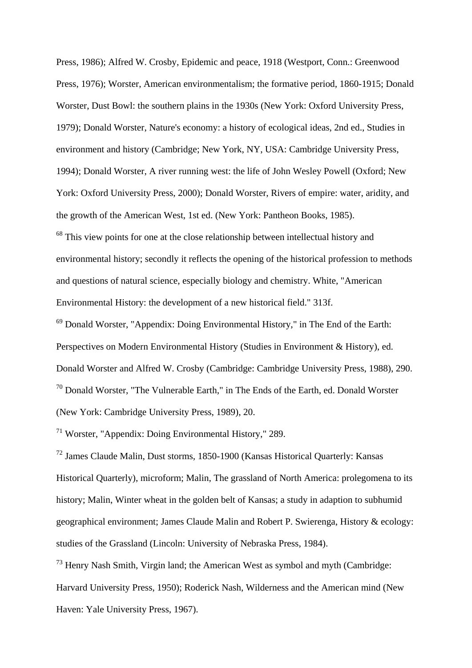Press, 1986); Alfred W. Crosby, Epidemic and peace, 1918 (Westport, Conn.: Greenwood Press, 1976); Worster, American environmentalism; the formative period, 1860-1915; Donald Worster, Dust Bowl: the southern plains in the 1930s (New York: Oxford University Press, 1979); Donald Worster, Nature's economy: a history of ecological ideas, 2nd ed., Studies in environment and history (Cambridge; New York, NY, USA: Cambridge University Press, 1994); Donald Worster, A river running west: the life of John Wesley Powell (Oxford; New York: Oxford University Press, 2000); Donald Worster, Rivers of empire: water, aridity, and the growth of the American West, 1st ed. (New York: Pantheon Books, 1985).

<sup>68</sup> This view points for one at the close relationship between intellectual history and environmental history; secondly it reflects the opening of the historical profession to methods and questions of natural science, especially biology and chemistry. White, "American Environmental History: the development of a new historical field." 313f.

<sup>69</sup> Donald Worster, "Appendix: Doing Environmental History," in The End of the Earth: Perspectives on Modern Environmental History (Studies in Environment & History), ed. Donald Worster and Alfred W. Crosby (Cambridge: Cambridge University Press, 1988), 290. <sup>70</sup> Donald Worster, "The Vulnerable Earth," in The Ends of the Earth, ed. Donald Worster (New York: Cambridge University Press, 1989), 20.

<sup>71</sup> Worster, "Appendix: Doing Environmental History," 289.

<sup>72</sup> James Claude Malin, Dust storms, 1850-1900 (Kansas Historical Quarterly: Kansas Historical Quarterly), microform; Malin, The grassland of North America: prolegomena to its history; Malin, Winter wheat in the golden belt of Kansas; a study in adaption to subhumid geographical environment; James Claude Malin and Robert P. Swierenga, History & ecology: studies of the Grassland (Lincoln: University of Nebraska Press, 1984).

<sup>73</sup> Henry Nash Smith, Virgin land; the American West as symbol and myth (Cambridge: Harvard University Press, 1950); Roderick Nash, Wilderness and the American mind (New Haven: Yale University Press, 1967).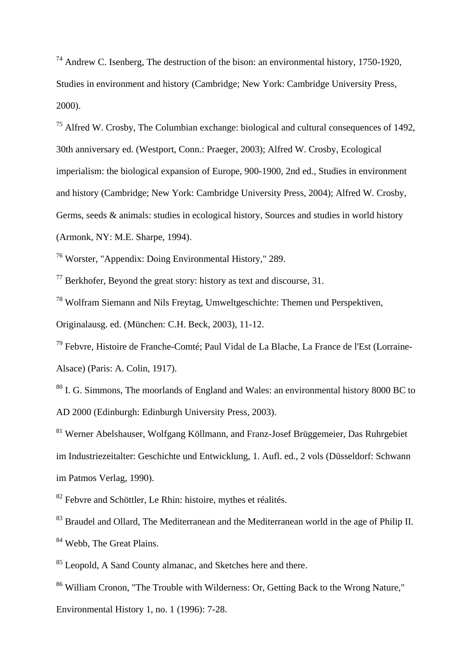$74$  Andrew C. Isenberg, The destruction of the bison: an environmental history, 1750-1920, Studies in environment and history (Cambridge; New York: Cambridge University Press, 2000).

<sup>75</sup> Alfred W. Crosby, The Columbian exchange: biological and cultural consequences of 1492, 30th anniversary ed. (Westport, Conn.: Praeger, 2003); Alfred W. Crosby, Ecological imperialism: the biological expansion of Europe, 900-1900, 2nd ed., Studies in environment and history (Cambridge; New York: Cambridge University Press, 2004); Alfred W. Crosby, Germs, seeds & animals: studies in ecological history, Sources and studies in world history (Armonk, NY: M.E. Sharpe, 1994).

<sup>76</sup> Worster, "Appendix: Doing Environmental History," 289.

 $77$  Berkhofer, Beyond the great story: history as text and discourse, 31.

<sup>78</sup> Wolfram Siemann and Nils Freytag, Umweltgeschichte: Themen und Perspektiven,

Originalausg. ed. (München: C.H. Beck, 2003), 11-12.

<sup>79</sup> Febvre, Histoire de Franche-Comté; Paul Vidal de La Blache, La France de l'Est (Lorraine-Alsace) (Paris: A. Colin, 1917).

<sup>80</sup> I. G. Simmons, The moorlands of England and Wales: an environmental history 8000 BC to AD 2000 (Edinburgh: Edinburgh University Press, 2003).

<sup>81</sup> Werner Abelshauser, Wolfgang Köllmann, and Franz-Josef Brüggemeier, Das Ruhrgebiet im Industriezeitalter: Geschichte und Entwicklung, 1. Aufl. ed., 2 vols (Düsseldorf: Schwann im Patmos Verlag, 1990).

 $82$  Febvre and Schöttler, Le Rhin: histoire, mythes et réalités.

<sup>83</sup> Braudel and Ollard, The Mediterranean and the Mediterranean world in the age of Philip II. <sup>84</sup> Webb, The Great Plains.

<sup>85</sup> Leopold, A Sand County almanac, and Sketches here and there.

<sup>86</sup> William Cronon, "The Trouble with Wilderness: Or, Getting Back to the Wrong Nature,"

Environmental History 1, no. 1 (1996): 7-28.